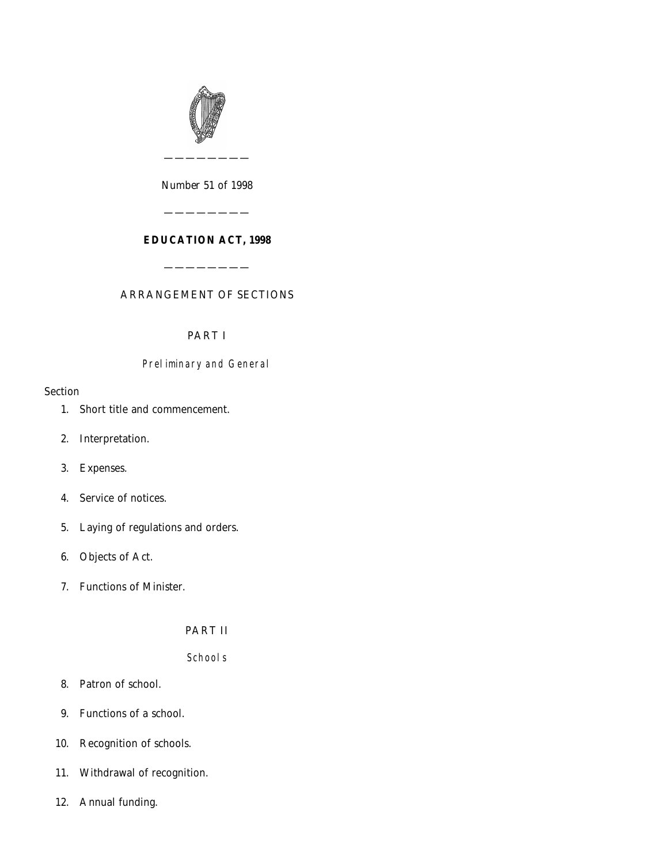

*Number* 51 *of* 1998

————————

# **EDUCATION ACT, 1998**

————————

ARRANGEMENT OF SECTIONS

————————

# PART I

Preliminary and General

# Section

- [1. Short title and commencement.](#page-4-0)
- [2. Interpretation.](#page-5-0)
- [3. Expenses.](#page-8-0)
- [4. Service of notices.](#page-8-0)
- [5. Laying of regulations and orders.](#page-8-0)
- [6. Objects of Act.](#page-8-0)
- [7. Functions of Minister.](#page-9-0)

# PART II

# Schools

- [8. Patron of school.](#page-11-0)
- [9. Functions of a school.](#page-12-0)
- [10. Recognition of schools.](#page-13-0)
- [11. Withdrawal of recognition.](#page-13-0)
- [12. Annual funding.](#page-14-0)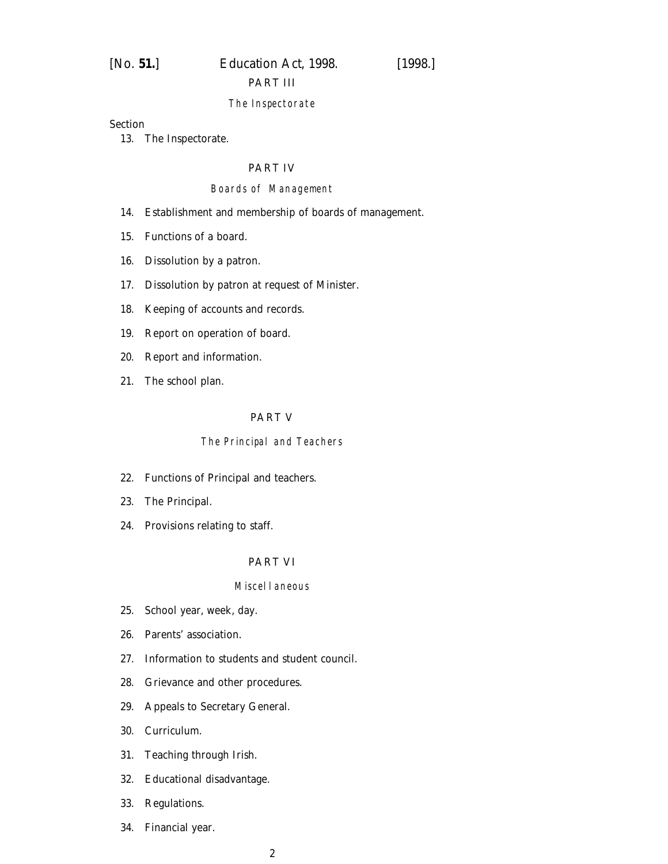### The Inspectorate

#### Section

[13. The Inspectorate.](#page-15-0)

### PART IV

#### Boards of Management

- [14. Establishment and membership of boards of management.](#page-17-0)
- [15. Functions of a board.](#page-18-0)
- [16. Dissolution by a patron.](#page-19-0)
- [17. Dissolution by patron at request of Minister.](#page-20-0)
- [18. Keeping of accounts and records.](#page-20-0)
- [19. Report on operation of board.](#page-21-0)
- [20. Report and information.](#page-21-0)
- [21. The school plan.](#page-21-0)

#### PART V

#### The Principal and Teachers

- [22. Functions of Principal and teachers.](#page-22-0)
- [23. The Principal.](#page-22-0)
- [24. Provisions relating to staff.](#page-23-0)

#### PART VI

#### Miscellaneous

- [25. School year, week, day.](#page-24-0)
- [26. Parents' association.](#page-24-0)
- [27. Information to students and student council.](#page-25-0)
- [28. Grievance and other procedures.](#page-25-0)
- [29. Appeals to Secretary General.](#page-26-0)
- [30. Curriculum.](#page-28-0)
- [31. Teaching through Irish.](#page-29-0)
- [32. Educational disadvantage.](#page-30-0)
- [33. Regulations.](#page-31-0)
- [34. Financial year.](#page-32-0)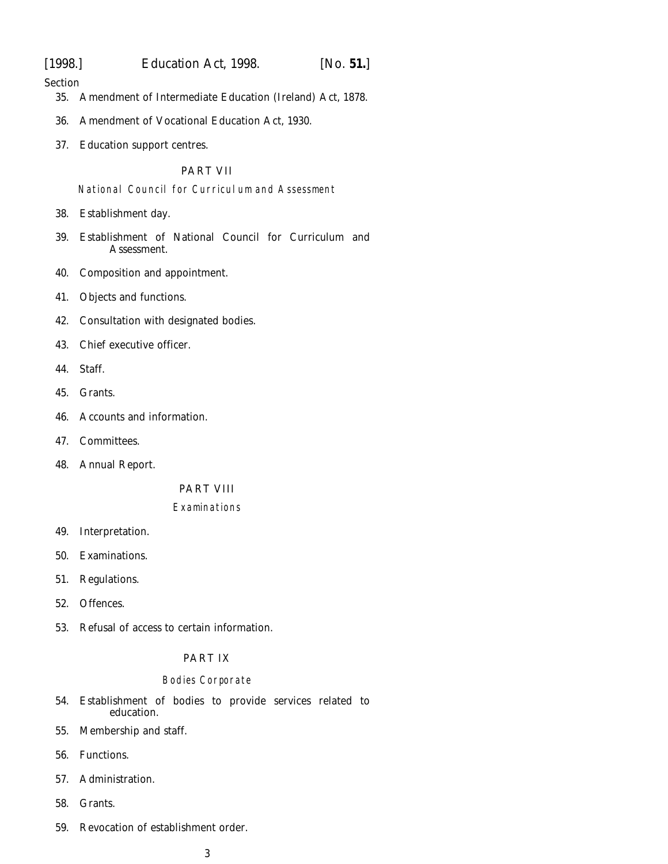| [1998.]<br>Education Act, 1998. | [No. 51.] |
|---------------------------------|-----------|
|---------------------------------|-----------|

**Section** 

- [35. Amendment of Intermediate Education \(Ireland\) Act, 1878.](#page-32-0)
- [36. Amendment of Vocational Education Act, 1930.](#page-32-0)
- [37. Education support centres.](#page-32-0)

#### PART VII

National Council for Curriculum and Assessment

- [38. Establishment day.](#page-33-0)
- [39. Establishment of National Council for Curriculum and](#page-33-0) Assessment.
- [40. Composition and appointment.](#page-33-0)
- [41. Objects and functions.](#page-34-0)
- [42. Consultation with designated bodies.](#page-36-0)
- [43. Chief executive officer.](#page-36-0)
- [44. Staff.](#page-36-0)
- [45. Grants.](#page-36-0)
- [46. Accounts and information.](#page-37-0)
- [47. Committees.](#page-37-0)
- [48. Annual Report.](#page-37-0)

# PART VIII

### Examinations

- [49. Interpretation.](#page-37-0)
- [50. Examinations.](#page-38-0)
- [51. Regulations.](#page-38-0)
- [52. Offences.](#page-39-0)
- [53. Refusal of access to certain information.](#page-40-0)

#### PART IX

#### Bodies Corporate

- [54. Establishment of bodies to provide services related to](#page-40-0) education.
- [55. Membership and staff.](#page-41-0)
- [56. Functions.](#page-41-0)
- [57. Administration.](#page-41-0)
- [58. Grants.](#page-41-0)
- [59. Revocation of establishment order.](#page-42-0)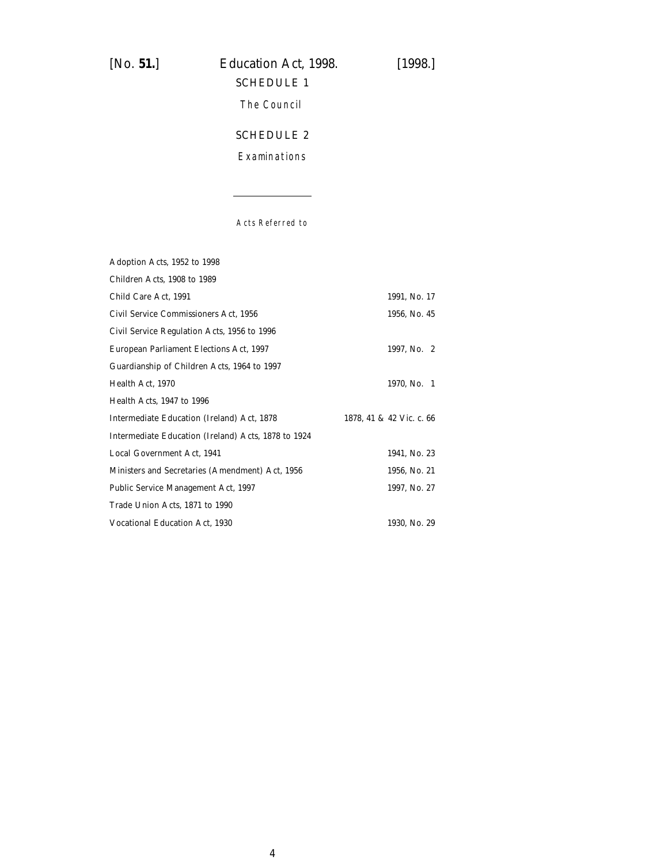# [*No.* **51.**] *Education Act,* 1998. [1998.]

# [SCHEDULE 1](#page-42-0)

# The Council

# [SCHEDULE 2](#page-45-0)

# Examinations

### Acts Referred to

| 1991, No. 17             |
|--------------------------|
| 1956, No. 45             |
|                          |
| 1997, No. 2              |
|                          |
| 1970, No. 1              |
|                          |
| 1878, 41 & 42 Vic. c. 66 |
|                          |
| 1941, No. 23             |
| 1956, No. 21             |
| 1997, No. 27             |
|                          |
| 1930, No. 29             |
|                          |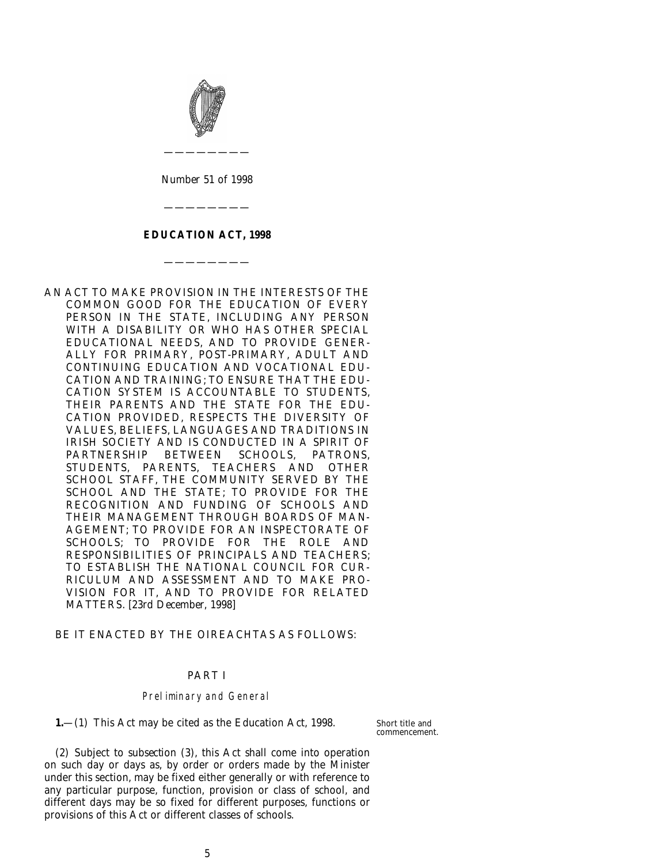<span id="page-4-0"></span>

*Number* 51 *of* 1998

————————

#### **EDUCATION ACT, 1998**

————————

————————

AN ACT TO MAKE PROVISION IN THE INTERESTS OF THE COMMON GOOD FOR THE EDUCATION OF EVERY PERSON IN THE STATE, INCLUDING ANY PERSON WITH A DISABILITY OR WHO HAS OTHER SPECIAL EDUCATIONAL NEEDS, AND TO PROVIDE GENER-ALLY FOR PRIMARY, POST-PRIMARY, ADULT AND CONTINUING EDUCATION AND VOCATIONAL EDU-CATION AND TRAINING; TO ENSURE THAT THE EDU-CATION SYSTEM IS ACCOUNTABLE TO STUDENTS, THEIR PARENTS AND THE STATE FOR THE EDU-CATION PROVIDED, RESPECTS THE DIVERSITY OF VALUES, BELIEFS, LANGUAGES AND TRADITIONS IN IRISH SOCIETY AND IS CONDUCTED IN A SPIRIT OF PARTNERSHIP BETWEEN SCHOOLS, PATRONS, STUDENTS, PARENTS, TEACHERS AND OTHER SCHOOL STAFF, THE COMMUNITY SERVED BY THE SCHOOL AND THE STATE; TO PROVIDE FOR THE RECOGNITION AND FUNDING OF SCHOOLS AND THEIR MANAGEMENT THROUGH BOARDS OF MAN-AGEMENT; TO PROVIDE FOR AN INSPECTORATE OF SCHOOLS; TO PROVIDE FOR THE ROLE AND RESPONSIBILITIES OF PRINCIPALS AND TEACHERS; TO ESTABLISH THE NATIONAL COUNCIL FOR CUR-RICULUM AND ASSESSMENT AND TO MAKE PRO-VISION FOR IT, AND TO PROVIDE FOR RELATED MATTERS. [23*rd December*, 1998]

#### BE IT ENACTED BY THE OIREACHTAS AS FOLLOWS:

#### PART I

#### Preliminary and General

**1.**—(1) This Act may be cited as the Education Act, 1998.

Short title and commencement.

(2) Subject to *subsection (3)*, this Act shall come into operation on such day or days as, by order or orders made by the Minister under this section, may be fixed either generally or with reference to any particular purpose, function, provision or class of school, and different days may be so fixed for different purposes, functions or provisions of this Act or different classes of schools.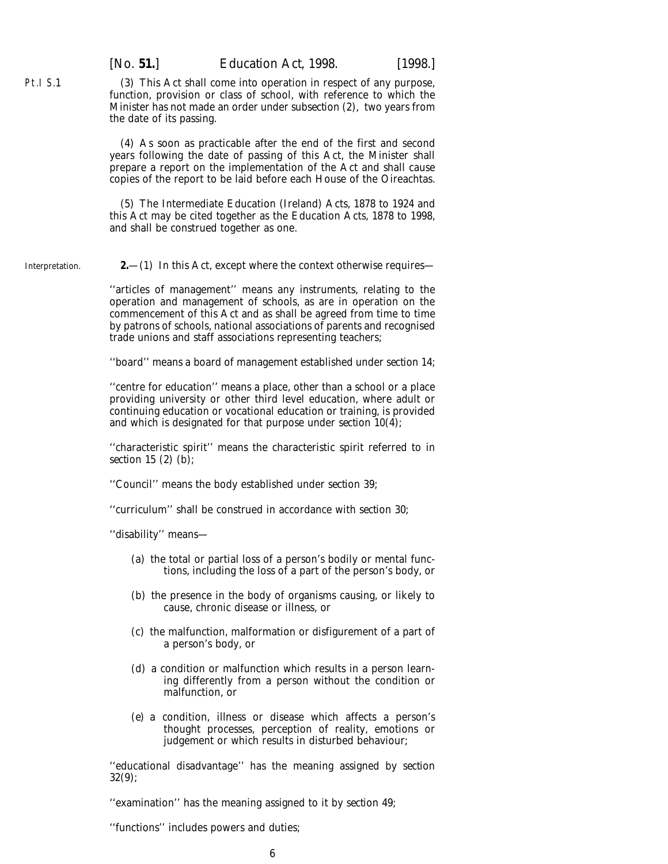<span id="page-5-0"></span>[*No.* **51.**] *Education Act,* 1998. [1998.]

(3) This Act shall come into operation in respect of any purpose, function, provision or class of school, with reference to which the Minister has not made an order under *subsection (2)*, two years from the date of its passing.

(4) As soon as practicable after the end of the first and second years following the date of passing of this Act, the Minister shall prepare a report on the implementation of the Act and shall cause copies of the report to be laid before each House of the Oireachtas.

(5) The Intermediate Education (Ireland) Acts, 1878 to 1924 and this Act may be cited together as the Education Acts, 1878 to 1998, and shall be construed together as one.

Interpretation.

**2.**—(1) In this Act, except where the context otherwise requires—

"articles of management" means any instruments, relating to the operation and management of schools, as are in operation on the commencement of this Act and as shall be agreed from time to time by patrons of schools, national associations of parents and recognised trade unions and staff associations representing teachers;

''board'' means a board of management established under *section 14*;

''centre for education'' means a place, other than a school or a place providing university or other third level education, where adult or continuing education or vocational education or training, is provided and which is designated for that purpose under *section 10(4)*;

''characteristic spirit'' means the characteristic spirit referred to in *section 15 (2) (b)*;

''Council'' means the body established under *section 39*;

''curriculum'' shall be construed in accordance with *section 30*;

''disability'' means—

- (*a*) the total or partial loss of a person's bodily or mental functions, including the loss of a part of the person's body, or
- (*b*) the presence in the body of organisms causing, or likely to cause, chronic disease or illness, or
- (*c*) the malfunction, malformation or disfigurement of a part of a person's body, or
- (*d*) a condition or malfunction which results in a person learning differently from a person without the condition or malfunction, or
- (*e*) a condition, illness or disease which affects a person's thought processes, perception of reality, emotions or judgement or which results in disturbed behaviour;

''educational disadvantage'' has the meaning assigned by *section 32(9)*;

''examination'' has the meaning assigned to it by *section 49*;

''functions'' includes powers and duties;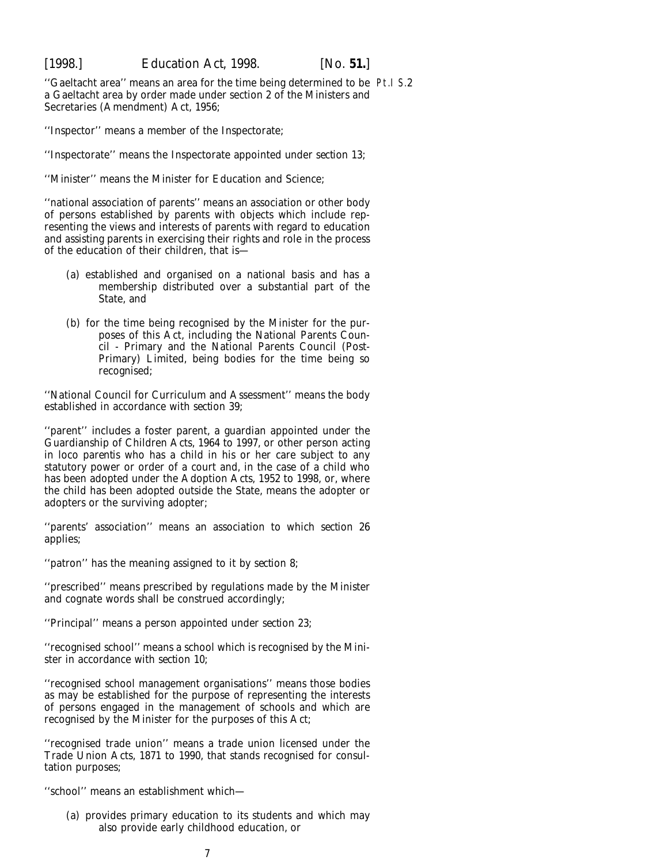"Gaeltacht area" means an area for the time being determined to be Pt.I S.2 a Gaeltacht area by order made under section 2 of the Ministers and Secretaries (Amendment) Act, 1956;

''Inspector'' means a member of the Inspectorate;

''Inspectorate'' means the Inspectorate appointed under *section 13*;

''Minister'' means the Minister for Education and Science;

''national association of parents'' means an association or other body of persons established by parents with objects which include representing the views and interests of parents with regard to education and assisting parents in exercising their rights and role in the process of the education of their children, that is—

- (*a*) established and organised on a national basis and has a membership distributed over a substantial part of the State, and
- (*b*) for the time being recognised by the Minister for the purposes of this Act, including the National Parents Council - Primary and the National Parents Council (Post-Primary) Limited, being bodies for the time being so recognised;

''National Council for Curriculum and Assessment'' means the body established in accordance with *section 39*;

''parent'' includes a foster parent, a guardian appointed under the Guardianship of Children Acts, 1964 to 1997, or other person acting in *loco parentis* who has a child in his or her care subject to any statutory power or order of a court and, in the case of a child who has been adopted under the Adoption Acts, 1952 to 1998, or, where the child has been adopted outside the State, means the adopter or adopters or the surviving adopter;

''parents' association'' means an association to which *section 26* applies;

''patron'' has the meaning assigned to it by *section 8*;

''prescribed'' means prescribed by regulations made by the Minister and cognate words shall be construed accordingly;

''Principal'' means a person appointed under *section 23*;

''recognised school'' means a school which is recognised by the Minister in accordance with *section 10*;

''recognised school management organisations'' means those bodies as may be established for the purpose of representing the interests of persons engaged in the management of schools and which are recognised by the Minister for the purposes of this Act;

''recognised trade union'' means a trade union licensed under the Trade Union Acts, 1871 to 1990, that stands recognised for consultation purposes;

''school'' means an establishment which—

(*a*) provides primary education to its students and which may also provide early childhood education, or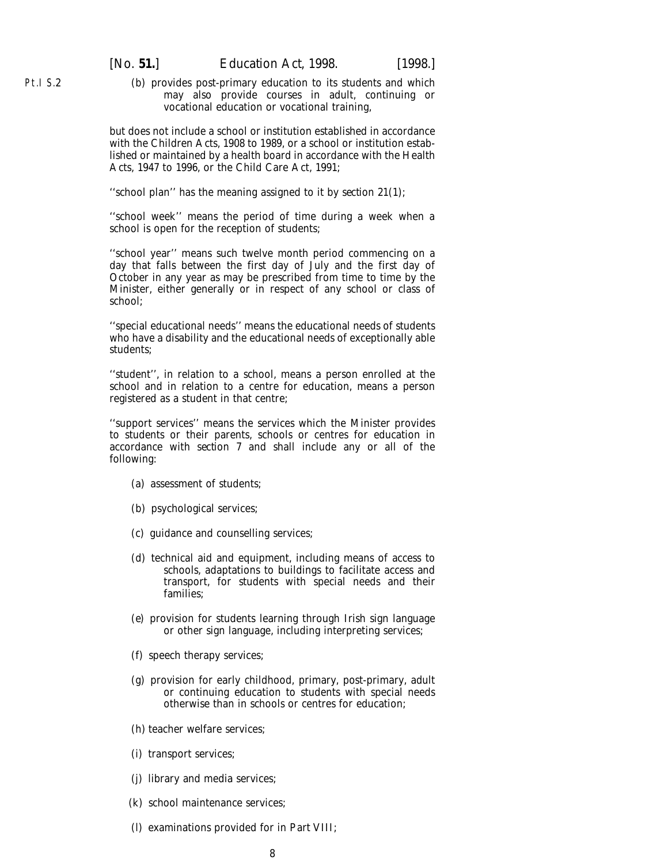Pt.I S.2

(*b*) provides post-primary education to its students and which may also provide courses in adult, continuing or vocational education or vocational training,

but does not include a school or institution established in accordance with the Children Acts, 1908 to 1989, or a school or institution established or maintained by a health board in accordance with the Health Acts, 1947 to 1996, or the Child Care Act, 1991;

''school plan'' has the meaning assigned to it by *section 21(1)*;

"school week" means the period of time during a week when a school is open for the reception of students;

"school year" means such twelve month period commencing on a day that falls between the first day of July and the first day of October in any year as may be prescribed from time to time by the Minister, either generally or in respect of any school or class of school;

''special educational needs'' means the educational needs of students who have a disability and the educational needs of exceptionally able students;

''student'', in relation to a school, means a person enrolled at the school and in relation to a centre for education, means a person registered as a student in that centre;

''support services'' means the services which the Minister provides to students or their parents, schools or centres for education in accordance with *section 7* and shall include any or all of the following:

- (*a*) assessment of students;
- (*b*) psychological services;
- (*c*) guidance and counselling services;
- (*d*) technical aid and equipment, including means of access to schools, adaptations to buildings to facilitate access and transport, for students with special needs and their families;
- (*e*) provision for students learning through Irish sign language or other sign language, including interpreting services;
- (*f*) speech therapy services;
- (*g*) provision for early childhood, primary, post-primary, adult or continuing education to students with special needs otherwise than in schools or centres for education;
- (*h*) teacher welfare services;
- (*i*) transport services;
- (*j*) library and media services;
- (*k*) school maintenance services;
- (*l*) examinations provided for in *Part VIII*;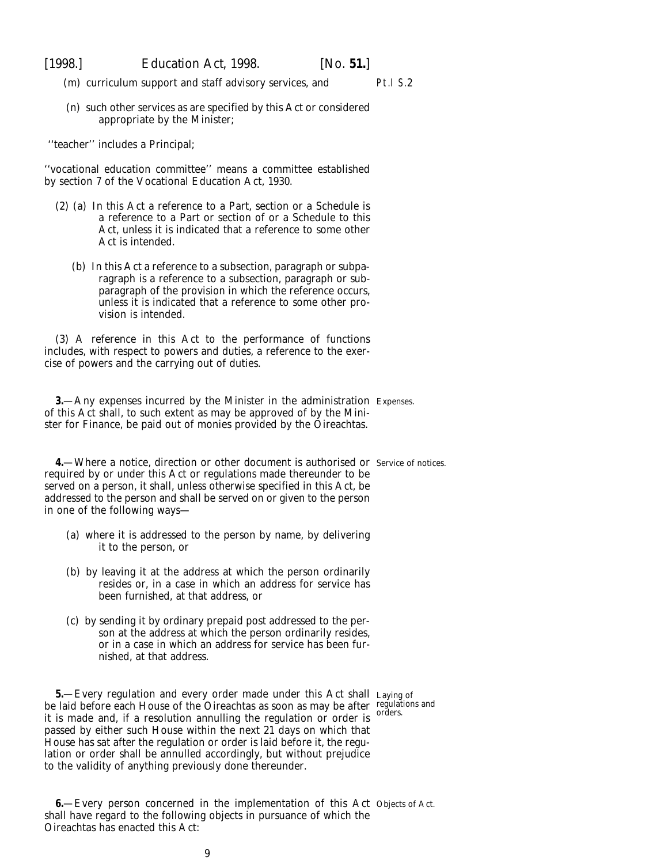<span id="page-8-0"></span>[1998.] *Education Act,* 1998. [*No.* **51.**]

(*m*) curriculum support and staff advisory services, and

Pt.I S.2

(*n*) such other services as are specified by this Act or considered appropriate by the Minister;

''teacher'' includes a Principal;

''vocational education committee'' means a committee established by section 7 of the Vocational Education Act, 1930.

- (2) (*a*) In this Act a reference to a Part, section or a Schedule is a reference to a Part or section of or a Schedule to this Act, unless it is indicated that a reference to some other Act is intended.
	- (*b)* In this Act a reference to a subsection, paragraph or subparagraph is a reference to a subsection, paragraph or subparagraph of the provision in which the reference occurs, unless it is indicated that a reference to some other provision is intended.

(3) A reference in this Act to the performance of functions includes, with respect to powers and duties, a reference to the exercise of powers and the carrying out of duties.

**3.**—Any expenses incurred by the Minister in the administration Expenses. of this Act shall, to such extent as may be approved of by the Minister for Finance, be paid out of monies provided by the Oireachtas.

**4.**—Where a notice, direction or other document is authorised or Service of notices. required by or under this Act or regulations made thereunder to be served on a person, it shall, unless otherwise specified in this Act, be addressed to the person and shall be served on or given to the person in one of the following ways—

- (*a*) where it is addressed to the person by name, by delivering it to the person, or
- (*b*) by leaving it at the address at which the person ordinarily resides or, in a case in which an address for service has been furnished, at that address, or
- (*c*) by sending it by ordinary prepaid post addressed to the person at the address at which the person ordinarily resides, or in a case in which an address for service has been furnished, at that address.

**5.**—Every regulation and every order made under this Act shall Laying of be laid before each House of the Oireachtas as soon as may be after regulations and It is made and, if a resolution annulling the regulation or order is orders. passed by either such House within the next 21 days on which that House has sat after the regulation or order is laid before it, the regulation or order shall be annulled accordingly, but without prejudice to the validity of anything previously done thereunder.

**6.**—Every person concerned in the implementation of this Act Objects of Act. shall have regard to the following objects in pursuance of which the Oireachtas has enacted this Act: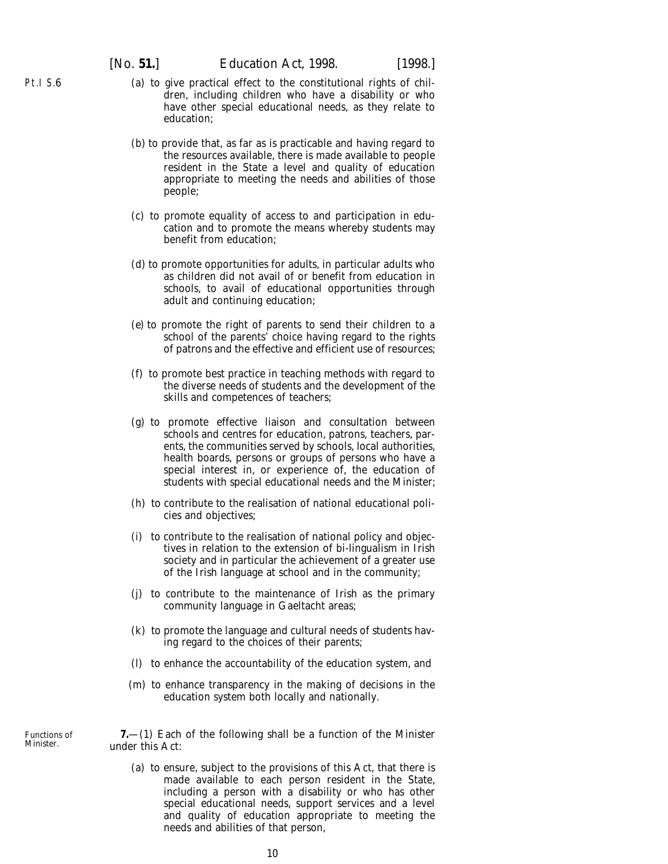- (*a*) to give practical effect to the constitutional rights of children, including children who have a disability or who have other special educational needs, as they relate to education;
- (*b*) to provide that, as far as is practicable and having regard to the resources available, there is made available to people resident in the State a level and quality of education appropriate to meeting the needs and abilities of those people;
- (*c*) to promote equality of access to and participation in education and to promote the means whereby students may benefit from education;
- (*d*) to promote opportunities for adults, in particular adults who as children did not avail of or benefit from education in schools, to avail of educational opportunities through adult and continuing education;
- (*e*) to promote the right of parents to send their children to a school of the parents' choice having regard to the rights of patrons and the effective and efficient use of resources;
- (*f*) to promote best practice in teaching methods with regard to the diverse needs of students and the development of the skills and competences of teachers;
- (*g*) to promote effective liaison and consultation between schools and centres for education, patrons, teachers, parents, the communities served by schools, local authorities, health boards, persons or groups of persons who have a special interest in, or experience of, the education of students with special educational needs and the Minister;
- (*h*) to contribute to the realisation of national educational policies and objectives;
- (*i*) to contribute to the realisation of national policy and objectives in relation to the extension of bi-lingualism in Irish society and in particular the achievement of a greater use of the Irish language at school and in the community;
- (*j*) to contribute to the maintenance of Irish as the primary community language in Gaeltacht areas;
- (*k*) to promote the language and cultural needs of students having regard to the choices of their parents;
- (*l*) to enhance the accountability of the education system, and
- (*m*) to enhance transparency in the making of decisions in the education system both locally and nationally.

Functions of **7.**—(1) Each of the following shall be a function of the Minister under this Act:

> (*a*) to ensure, subject to the provisions of this Act, that there is made available to each person resident in the State, including a person with a disability or who has other special educational needs, support services and a level and quality of education appropriate to meeting the needs and abilities of that person,

<span id="page-9-0"></span>Pt.I S.6

Minister.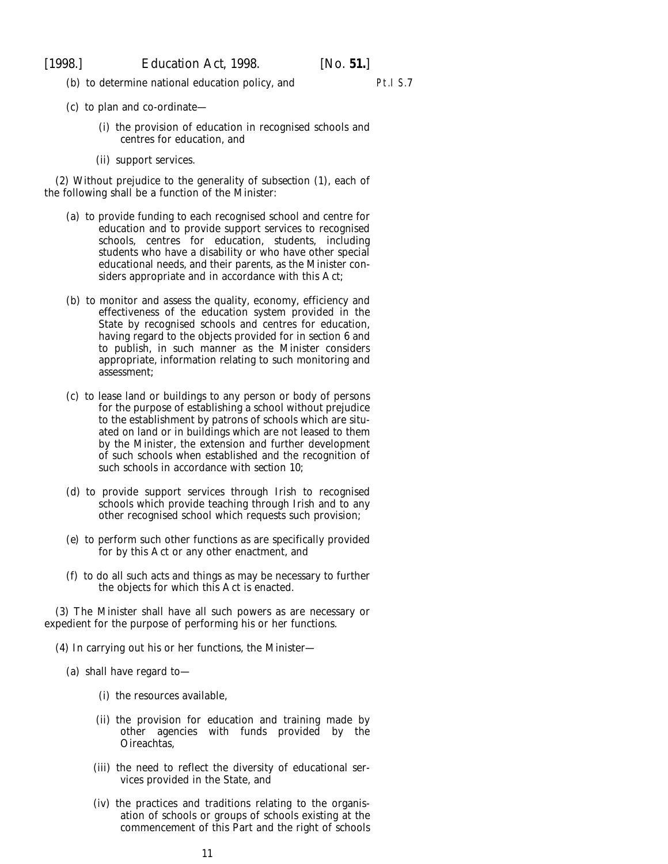(*b*) to determine national education policy, and

Pt.I S.7

- (*c*) to plan and co-ordinate—
	- (i) the provision of education in recognised schools and centres for education, and
	- (ii) support services.

(2) Without prejudice to the generality of *subsection (1)*, each of the following shall be a function of the Minister:

- (*a*) to provide funding to each recognised school and centre for education and to provide support services to recognised schools, centres for education, students, including students who have a disability or who have other special educational needs, and their parents, as the Minister considers appropriate and in accordance with this Act;
- (*b*) to monitor and assess the quality, economy, efficiency and effectiveness of the education system provided in the State by recognised schools and centres for education, having regard to the objects provided for in *section 6* and to publish, in such manner as the Minister considers appropriate, information relating to such monitoring and assessment;
- (*c*) to lease land or buildings to any person or body of persons for the purpose of establishing a school without prejudice to the establishment by patrons of schools which are situated on land or in buildings which are not leased to them by the Minister, the extension and further development of such schools when established and the recognition of such schools in accordance with *section 10*;
- (*d*) to provide support services through Irish to recognised schools which provide teaching through Irish and to any other recognised school which requests such provision;
- (*e*) to perform such other functions as are specifically provided for by this Act or any other enactment, and
- (*f*) to do all such acts and things as may be necessary to further the objects for which this Act is enacted.

(3) The Minister shall have all such powers as are necessary or expedient for the purpose of performing his or her functions.

- (4) In carrying out his or her functions, the Minister—
	- (*a*) shall have regard to—
		- (i) the resources available,
		- (ii) the provision for education and training made by other agencies with funds provided by the Oireachtas,
		- (iii) the need to reflect the diversity of educational services provided in the State, and
		- (iv) the practices and traditions relating to the organisation of schools or groups of schools existing at the commencement of this Part and the right of schools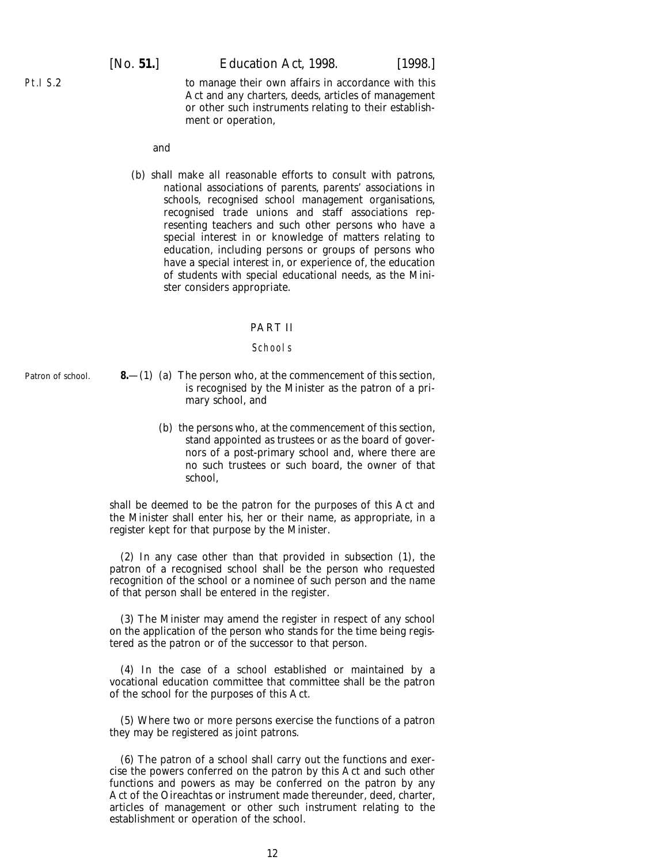to manage their own affairs in accordance with this Act and any charters, deeds, articles of management or other such instruments relating to their establishment or operation,

#### and

(*b*) shall make all reasonable efforts to consult with patrons, national associations of parents, parents' associations in schools, recognised school management organisations, recognised trade unions and staff associations representing teachers and such other persons who have a special interest in or knowledge of matters relating to education, including persons or groups of persons who have a special interest in, or experience of, the education of students with special educational needs, as the Minister considers appropriate.

#### PART II

#### Schools

Patron of school.

- **8.**—(1) (*a*) The person who, at the commencement of this section, is recognised by the Minister as the patron of a primary school, and
	- (*b*) the persons who, at the commencement of this section, stand appointed as trustees or as the board of governors of a post-primary school and, where there are no such trustees or such board, the owner of that school,

shall be deemed to be the patron for the purposes of this Act and the Minister shall enter his, her or their name, as appropriate, in a register kept for that purpose by the Minister.

(2) In any case other than that provided in *subsection (1)*, the patron of a recognised school shall be the person who requested recognition of the school or a nominee of such person and the name of that person shall be entered in the register.

(3) The Minister may amend the register in respect of any school on the application of the person who stands for the time being registered as the patron or of the successor to that person.

(4) In the case of a school established or maintained by a vocational education committee that committee shall be the patron of the school for the purposes of this Act.

(5) Where two or more persons exercise the functions of a patron they may be registered as joint patrons.

(6) The patron of a school shall carry out the functions and exercise the powers conferred on the patron by this Act and such other functions and powers as may be conferred on the patron by any Act of the Oireachtas or instrument made thereunder, deed, charter, articles of management or other such instrument relating to the establishment or operation of the school.

<span id="page-11-0"></span>Pt.I S.2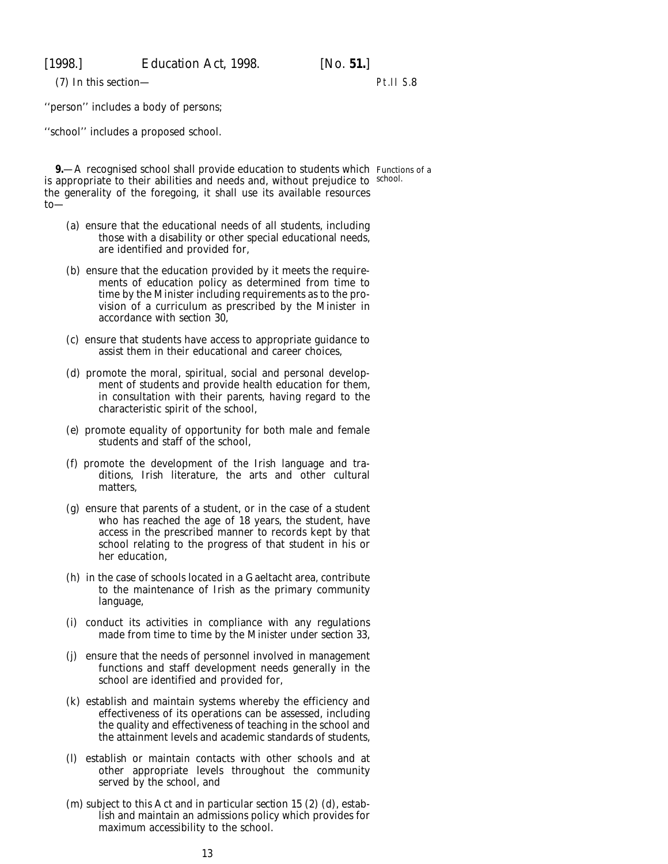<span id="page-12-0"></span>

Pt.II S.8

(7) In this section—

''person'' includes a body of persons;

''school'' includes a proposed school.

**9.**—A recognised school shall provide education to students which Functions of a is appropriate to their abilities and needs and, without prejudice to school. the generality of the foregoing, it shall use its available resources to—

- (*a*) ensure that the educational needs of all students, including those with a disability or other special educational needs, are identified and provided for,
- (*b*) ensure that the education provided by it meets the requirements of education policy as determined from time to time by the Minister including requirements as to the provision of a curriculum as prescribed by the Minister in accordance with *section 30*,
- (*c*) ensure that students have access to appropriate guidance to assist them in their educational and career choices,
- (*d*) promote the moral, spiritual, social and personal development of students and provide health education for them, in consultation with their parents, having regard to the characteristic spirit of the school,
- (*e*) promote equality of opportunity for both male and female students and staff of the school,
- (*f*) promote the development of the Irish language and traditions, Irish literature, the arts and other cultural matters,
- (*g*) ensure that parents of a student, or in the case of a student who has reached the age of 18 years, the student, have access in the prescribed manner to records kept by that school relating to the progress of that student in his or her education,
- (*h*) in the case of schools located in a Gaeltacht area, contribute to the maintenance of Irish as the primary community language,
- (*i*) conduct its activities in compliance with any regulations made from time to time by the Minister under *section 33*,
- (*j*) ensure that the needs of personnel involved in management functions and staff development needs generally in the school are identified and provided for,
- (*k*) establish and maintain systems whereby the efficiency and effectiveness of its operations can be assessed, including the quality and effectiveness of teaching in the school and the attainment levels and academic standards of students,
- (*l*) establish or maintain contacts with other schools and at other appropriate levels throughout the community served by the school, and
- (*m*) subject to this Act and in particular *section 15 (2) (d)*, establish and maintain an admissions policy which provides for maximum accessibility to the school.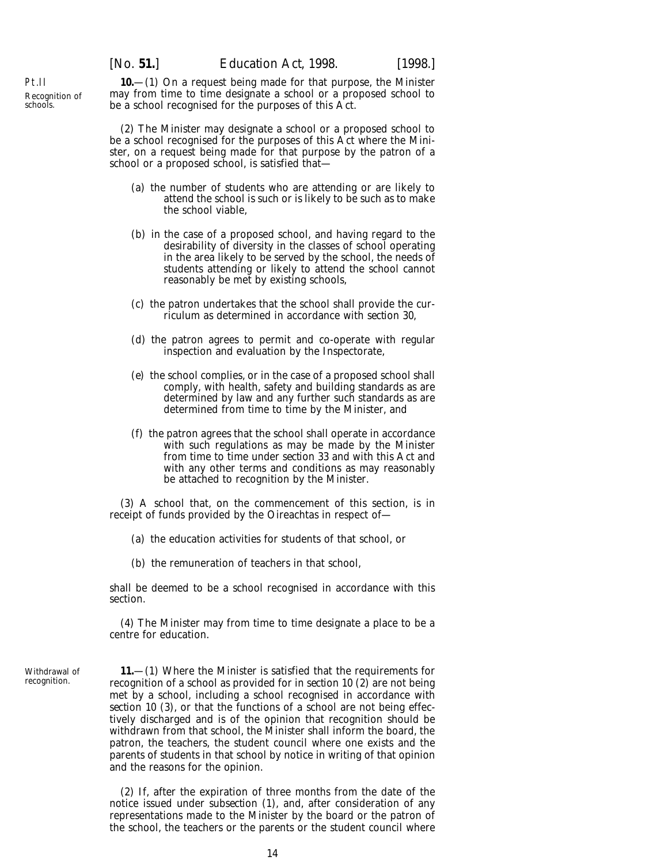<span id="page-13-0"></span>Pt.II Recognition of schools.

**10.**—(1) On a request being made for that purpose, the Minister may from time to time designate a school or a proposed school to be a school recognised for the purposes of this Act.

(2) The Minister may designate a school or a proposed school to be a school recognised for the purposes of this Act where the Minister, on a request being made for that purpose by the patron of a school or a proposed school, is satisfied that—

- (*a*) the number of students who are attending or are likely to attend the school is such or is likely to be such as to make the school viable,
- (*b*) in the case of a proposed school, and having regard to the desirability of diversity in the classes of school operating in the area likely to be served by the school, the needs of students attending or likely to attend the school cannot reasonably be met by existing schools,
- (*c*) the patron undertakes that the school shall provide the curriculum as determined in accordance with *section 30*,
- (*d*) the patron agrees to permit and co-operate with regular inspection and evaluation by the Inspectorate,
- (*e*) the school complies, or in the case of a proposed school shall comply, with health, safety and building standards as are determined by law and any further such standards as are determined from time to time by the Minister, and
- (*f*) the patron agrees that the school shall operate in accordance with such regulations as may be made by the Minister from time to time under *section 33* and with this Act and with any other terms and conditions as may reasonably be attached to recognition by the Minister.

(3) A school that, on the commencement of this section, is in receipt of funds provided by the Oireachtas in respect of—

- (*a*) the education activities for students of that school, or
- (*b*) the remuneration of teachers in that school,

shall be deemed to be a school recognised in accordance with this section.

(4) The Minister may from time to time designate a place to be a centre for education.

Withdrawal of recognition.

**11.**—(1) Where the Minister is satisfied that the requirements for recognition of a school as provided for in *section 10 (2)* are not being met by a school, including a school recognised in accordance with *section 10 (3)*, or that the functions of a school are not being effectively discharged and is of the opinion that recognition should be withdrawn from that school, the Minister shall inform the board, the patron, the teachers, the student council where one exists and the parents of students in that school by notice in writing of that opinion and the reasons for the opinion.

(2) If, after the expiration of three months from the date of the notice issued under *subsection (1)*, and, after consideration of any representations made to the Minister by the board or the patron of the school, the teachers or the parents or the student council where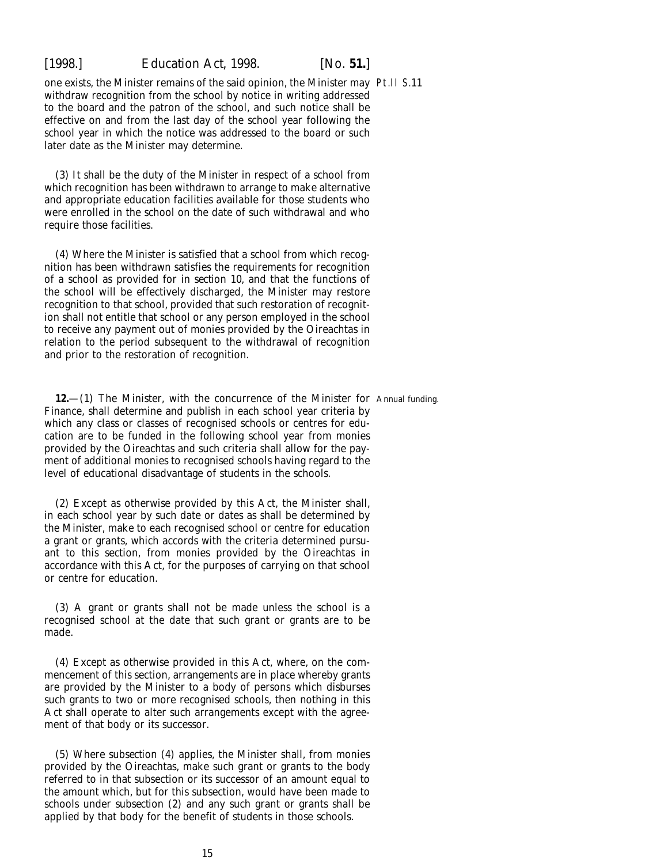<span id="page-14-0"></span>[1998.] *Education Act,* 1998. [*No.* **51.**]

one exists, the Minister remains of the said opinion, the Minister may Pt.II S.11 withdraw recognition from the school by notice in writing addressed to the board and the patron of the school, and such notice shall be effective on and from the last day of the school year following the school year in which the notice was addressed to the board or such later date as the Minister may determine.

(3) It shall be the duty of the Minister in respect of a school from which recognition has been withdrawn to arrange to make alternative and appropriate education facilities available for those students who were enrolled in the school on the date of such withdrawal and who require those facilities.

(4) Where the Minister is satisfied that a school from which recognition has been withdrawn satisfies the requirements for recognition of a school as provided for in *section 10*, and that the functions of the school will be effectively discharged, the Minister may restore recognition to that school, provided that such restoration of recognition shall not entitle that school or any person employed in the school to receive any payment out of monies provided by the Oireachtas in relation to the period subsequent to the withdrawal of recognition and prior to the restoration of recognition.

**12.**—(1) The Minister, with the concurrence of the Minister for Annual funding.Finance, shall determine and publish in each school year criteria by which any class or classes of recognised schools or centres for education are to be funded in the following school year from monies provided by the Oireachtas and such criteria shall allow for the payment of additional monies to recognised schools having regard to the level of educational disadvantage of students in the schools.

(2) Except as otherwise provided by this Act, the Minister shall, in each school year by such date or dates as shall be determined by the Minister, make to each recognised school or centre for education a grant or grants, which accords with the criteria determined pursuant to this section, from monies provided by the Oireachtas in accordance with this Act, for the purposes of carrying on that school or centre for education.

(3) A grant or grants shall not be made unless the school is a recognised school at the date that such grant or grants are to be made.

(4) Except as otherwise provided in this Act, where, on the commencement of this section, arrangements are in place whereby grants are provided by the Minister to a body of persons which disburses such grants to two or more recognised schools, then nothing in this Act shall operate to alter such arrangements except with the agreement of that body or its successor.

(5) Where *subsection (4)* applies, the Minister shall, from monies provided by the Oireachtas, make such grant or grants to the body referred to in that subsection or its successor of an amount equal to the amount which, but for this subsection, would have been made to schools under *subsection (2)* and any such grant or grants shall be applied by that body for the benefit of students in those schools.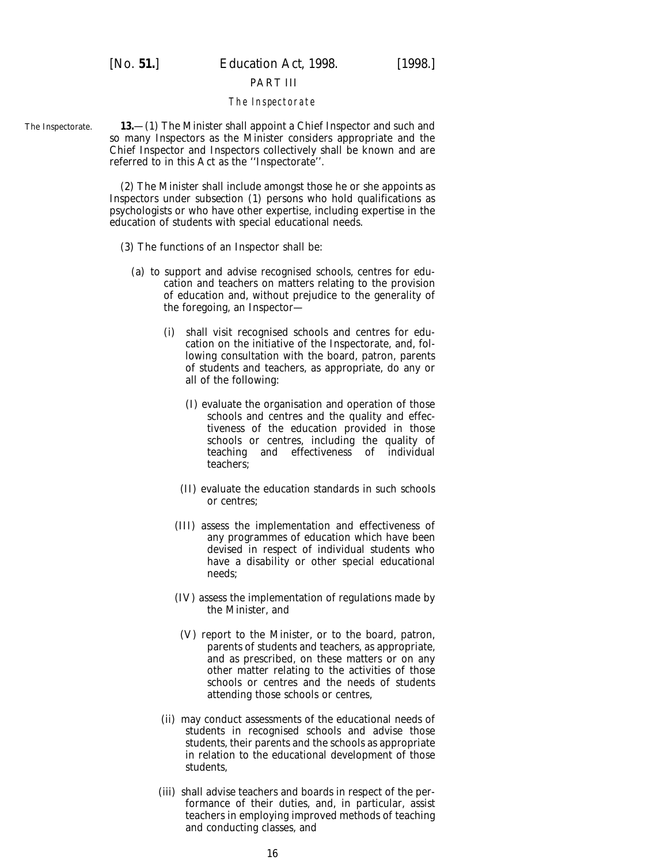#### PART III

#### The Inspectorate

<span id="page-15-0"></span>The Inspectorate.

**13.**—(1) The Minister shall appoint a Chief Inspector and such and so many Inspectors as the Minister considers appropriate and the Chief Inspector and Inspectors collectively shall be known and are referred to in this Act as the ''Inspectorate''.

(2) The Minister shall include amongst those he or she appoints as Inspectors under *subsection (1)* persons who hold qualifications as psychologists or who have other expertise, including expertise in the education of students with special educational needs.

- (3) The functions of an Inspector shall be:
	- (*a*) to support and advise recognised schools, centres for education and teachers on matters relating to the provision of education and, without prejudice to the generality of the foregoing, an Inspector—
		- (i) shall visit recognised schools and centres for education on the initiative of the Inspectorate, and, following consultation with the board, patron, parents of students and teachers, as appropriate, do any or all of the following:
			- (I) evaluate the organisation and operation of those schools and centres and the quality and effectiveness of the education provided in those schools or centres, including the quality of teaching and effectiveness of individual teachers;
			- (II) evaluate the education standards in such schools or centres;
			- (III) assess the implementation and effectiveness of any programmes of education which have been devised in respect of individual students who have a disability or other special educational needs;
			- (IV) assess the implementation of regulations made by the Minister, and
			- (V) report to the Minister, or to the board, patron, parents of students and teachers, as appropriate, and as prescribed, on these matters or on any other matter relating to the activities of those schools or centres and the needs of students attending those schools or centres,
		- (ii) may conduct assessments of the educational needs of students in recognised schools and advise those students, their parents and the schools as appropriate in relation to the educational development of those students,
		- (iii) shall advise teachers and boards in respect of the performance of their duties, and, in particular, assist teachers in employing improved methods of teaching and conducting classes, and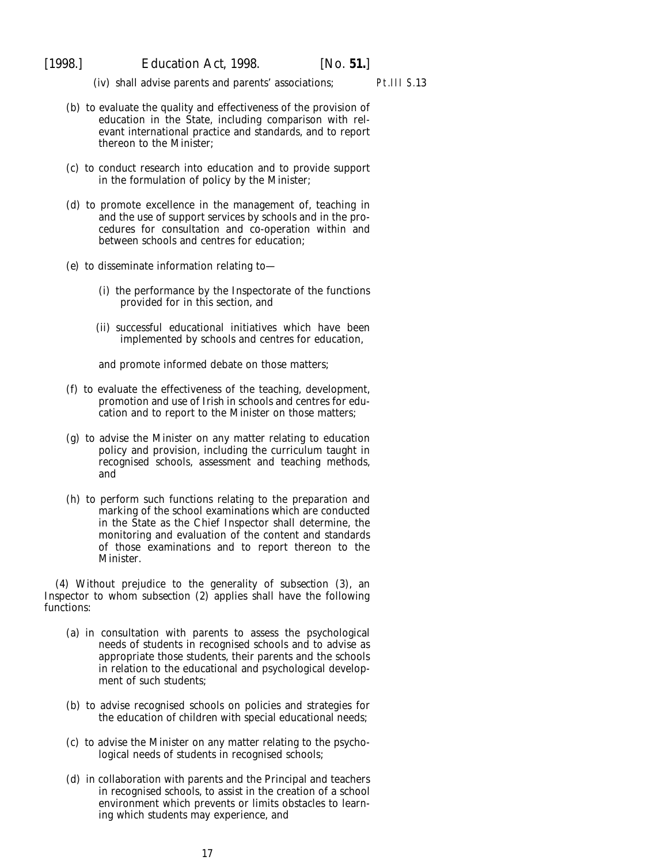(iv) shall advise parents and parents' associations;

- (*b*) to evaluate the quality and effectiveness of the provision of education in the State, including comparison with relevant international practice and standards, and to report thereon to the Minister;
- (*c*) to conduct research into education and to provide support in the formulation of policy by the Minister;
- (*d*) to promote excellence in the management of, teaching in and the use of support services by schools and in the procedures for consultation and co-operation within and between schools and centres for education;
- (*e*) to disseminate information relating to—
	- (i) the performance by the Inspectorate of the functions provided for in this section, and
	- (ii) successful educational initiatives which have been implemented by schools and centres for education,

and promote informed debate on those matters;

- (*f*) to evaluate the effectiveness of the teaching, development, promotion and use of Irish in schools and centres for education and to report to the Minister on those matters;
- (*g*) to advise the Minister on any matter relating to education policy and provision, including the curriculum taught in recognised schools, assessment and teaching methods, and
- (*h*) to perform such functions relating to the preparation and marking of the school examinations which are conducted in the State as the Chief Inspector shall determine, the monitoring and evaluation of the content and standards of those examinations and to report thereon to the Minister.

(4) Without prejudice to the generality of *subsection (3)*, an Inspector to whom *subsection (2)* applies shall have the following functions:

- (*a*) in consultation with parents to assess the psychological needs of students in recognised schools and to advise as appropriate those students, their parents and the schools in relation to the educational and psychological development of such students;
- (*b*) to advise recognised schools on policies and strategies for the education of children with special educational needs;
- (*c*) to advise the Minister on any matter relating to the psychological needs of students in recognised schools;
- (*d*) in collaboration with parents and the Principal and teachers in recognised schools, to assist in the creation of a school environment which prevents or limits obstacles to learning which students may experience, and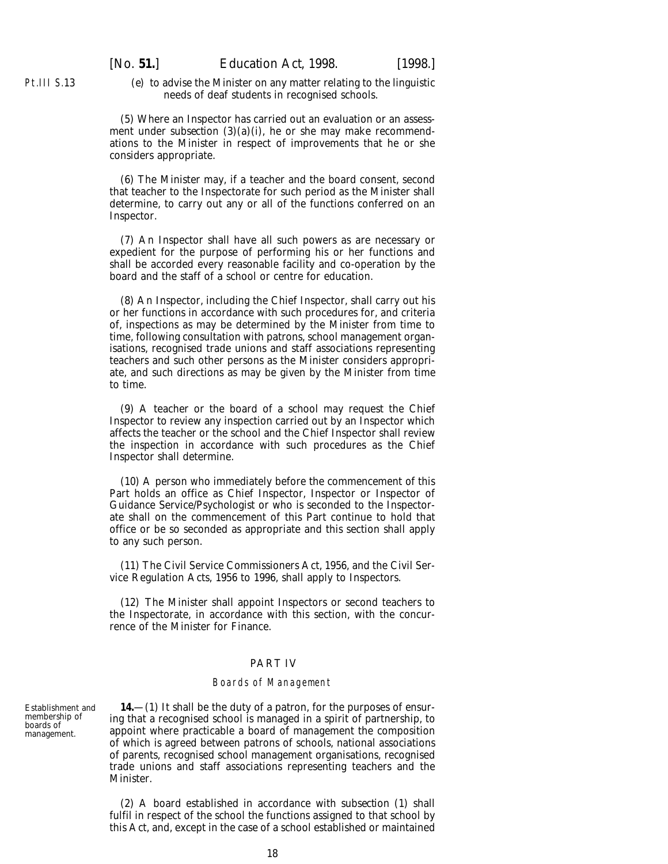<span id="page-17-0"></span>Pt.III S.13

(*e*) to advise the Minister on any matter relating to the linguistic needs of deaf students in recognised schools.

(5) Where an Inspector has carried out an evaluation or an assessment under *subsection* (3)(a)(i), he or she may make recommendations to the Minister in respect of improvements that he or she considers appropriate.

(6) The Minister may, if a teacher and the board consent, second that teacher to the Inspectorate for such period as the Minister shall determine, to carry out any or all of the functions conferred on an Inspector.

(7) An Inspector shall have all such powers as are necessary or expedient for the purpose of performing his or her functions and shall be accorded every reasonable facility and co-operation by the board and the staff of a school or centre for education.

(8) An Inspector, including the Chief Inspector, shall carry out his or her functions in accordance with such procedures for, and criteria of, inspections as may be determined by the Minister from time to time, following consultation with patrons, school management organisations, recognised trade unions and staff associations representing teachers and such other persons as the Minister considers appropriate, and such directions as may be given by the Minister from time to time.

(9) A teacher or the board of a school may request the Chief Inspector to review any inspection carried out by an Inspector which affects the teacher or the school and the Chief Inspector shall review the inspection in accordance with such procedures as the Chief Inspector shall determine.

(10) A person who immediately before the commencement of this Part holds an office as Chief Inspector, Inspector or Inspector of Guidance Service/Psychologist or who is seconded to the Inspectorate shall on the commencement of this Part continue to hold that office or be so seconded as appropriate and this section shall apply to any such person.

(11) The Civil Service Commissioners Act, 1956, and the Civil Service Regulation Acts, 1956 to 1996, shall apply to Inspectors.

(12) The Minister shall appoint Inspectors or second teachers to the Inspectorate, in accordance with this section, with the concurrence of the Minister for Finance.

#### PART IV

#### Boards of Management

**14.**—(1) It shall be the duty of a patron, for the purposes of ensuring that a recognised school is managed in a spirit of partnership, to appoint where practicable a board of management the composition of which is agreed between patrons of schools, national associations of parents, recognised school management organisations, recognised trade unions and staff associations representing teachers and the Minister.

(2) A board established in accordance with *subsection (1)* shall fulfil in respect of the school the functions assigned to that school by this Act, and, except in the case of a school established or maintained

Establishment and membership of boards of management.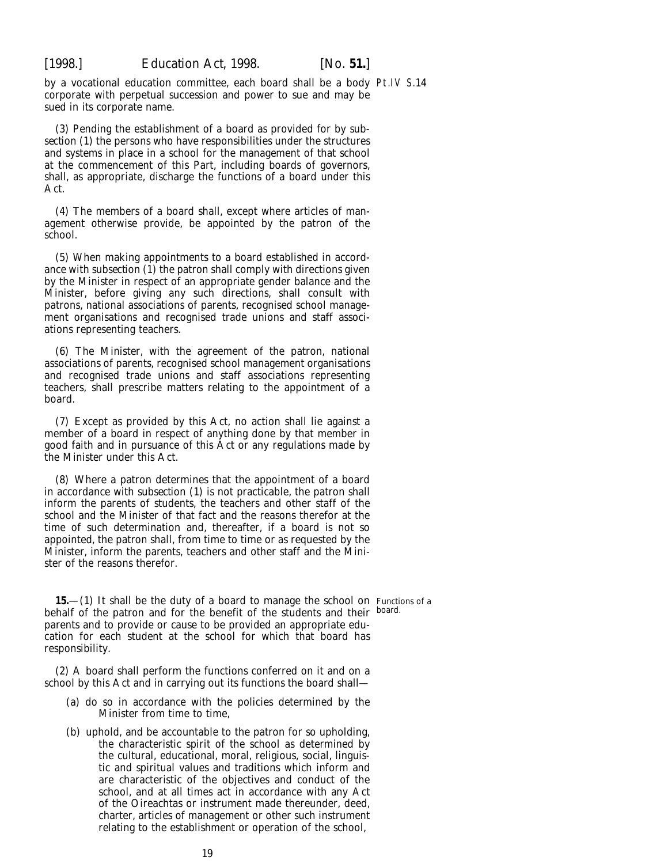<span id="page-18-0"></span>

by a vocational education committee, each board shall be a body Pt.IV S.14 corporate with perpetual succession and power to sue and may be sued in its corporate name.

(3) Pending the establishment of a board as provided for by *subsection (1)* the persons who have responsibilities under the structures and systems in place in a school for the management of that school at the commencement of this Part, including boards of governors, shall, as appropriate, discharge the functions of a board under this Act.

(4) The members of a board shall, except where articles of management otherwise provide, be appointed by the patron of the school.

(5) When making appointments to a board established in accordance with *subsection (1)* the patron shall comply with directions given by the Minister in respect of an appropriate gender balance and the Minister, before giving any such directions, shall consult with patrons, national associations of parents, recognised school management organisations and recognised trade unions and staff associations representing teachers.

(6) The Minister, with the agreement of the patron, national associations of parents, recognised school management organisations and recognised trade unions and staff associations representing teachers, shall prescribe matters relating to the appointment of a board.

(7) Except as provided by this Act, no action shall lie against a member of a board in respect of anything done by that member in good faith and in pursuance of this Act or any regulations made by the Minister under this Act.

(8) Where a patron determines that the appointment of a board in accordance with *subsection (1)* is not practicable, the patron shall inform the parents of students, the teachers and other staff of the school and the Minister of that fact and the reasons therefor at the time of such determination and, thereafter, if a board is not so appointed, the patron shall, from time to time or as requested by the Minister, inform the parents, teachers and other staff and the Minister of the reasons therefor.

**15.**—(1) It shall be the duty of a board to manage the school on Functions of a behalf of the patron and for the benefit of the students and their board. parents and to provide or cause to be provided an appropriate education for each student at the school for which that board has responsibility.

(2) A board shall perform the functions conferred on it and on a school by this Act and in carrying out its functions the board shall—

- (*a*) do so in accordance with the policies determined by the Minister from time to time,
- (*b*) uphold, and be accountable to the patron for so upholding, the characteristic spirit of the school as determined by the cultural, educational, moral, religious, social, linguistic and spiritual values and traditions which inform and are characteristic of the objectives and conduct of the school, and at all times act in accordance with any Act of the Oireachtas or instrument made thereunder, deed, charter, articles of management or other such instrument relating to the establishment or operation of the school,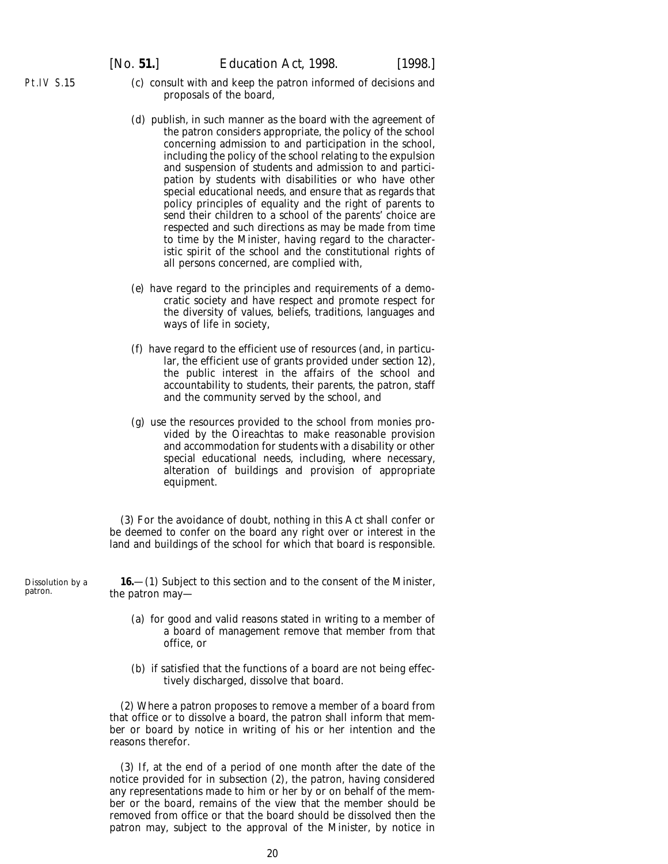- <span id="page-19-0"></span>Pt.IV S.15
- (*c*) consult with and keep the patron informed of decisions and proposals of the board,
- (*d*) publish, in such manner as the board with the agreement of the patron considers appropriate, the policy of the school concerning admission to and participation in the school, including the policy of the school relating to the expulsion and suspension of students and admission to and participation by students with disabilities or who have other special educational needs, and ensure that as regards that policy principles of equality and the right of parents to send their children to a school of the parents' choice are respected and such directions as may be made from time to time by the Minister, having regard to the characteristic spirit of the school and the constitutional rights of all persons concerned, are complied with,
- (*e*) have regard to the principles and requirements of a democratic society and have respect and promote respect for the diversity of values, beliefs, traditions, languages and ways of life in society,
- (*f*) have regard to the efficient use of resources (and, in particular, the efficient use of grants provided under *section 12*), the public interest in the affairs of the school and accountability to students, their parents, the patron, staff and the community served by the school, and
- (*g*) use the resources provided to the school from monies provided by the Oireachtas to make reasonable provision and accommodation for students with a disability or other special educational needs, including, where necessary, alteration of buildings and provision of appropriate equipment.

(3) For the avoidance of doubt, nothing in this Act shall confer or be deemed to confer on the board any right over or interest in the land and buildings of the school for which that board is responsible.

Dissolution by a patron.

**16.**—(1) Subject to this section and to the consent of the Minister, the patron may—

- (*a*) for good and valid reasons stated in writing to a member of a board of management remove that member from that office, or
- (*b*) if satisfied that the functions of a board are not being effectively discharged, dissolve that board.

(2) Where a patron proposes to remove a member of a board from that office or to dissolve a board, the patron shall inform that member or board by notice in writing of his or her intention and the reasons therefor.

(3) If, at the end of a period of one month after the date of the notice provided for in *subsection (2)*, the patron, having considered any representations made to him or her by or on behalf of the member or the board, remains of the view that the member should be removed from office or that the board should be dissolved then the patron may, subject to the approval of the Minister, by notice in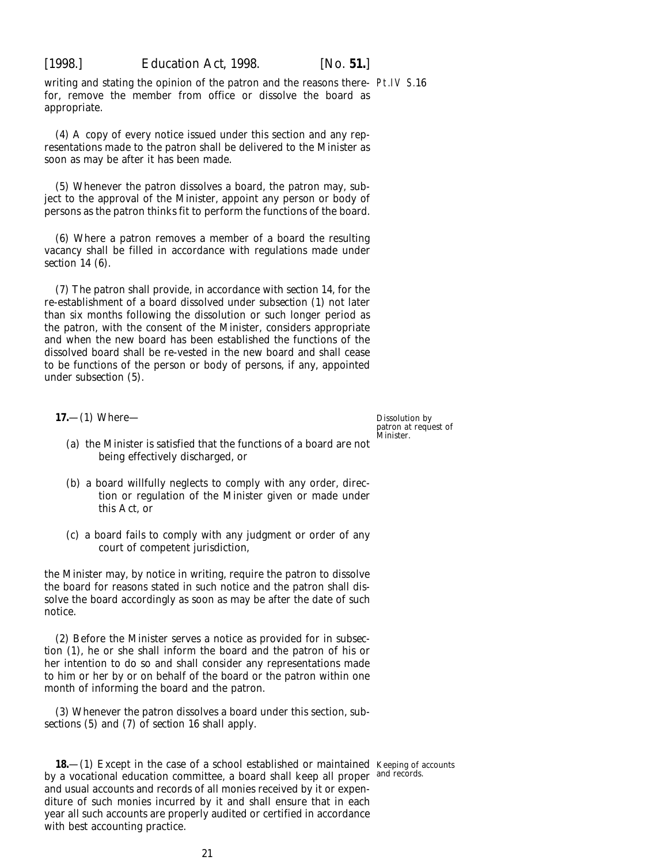<span id="page-20-0"></span>

writing and stating the opinion of the patron and the reasons there-Pt.IV S.16 for, remove the member from office or dissolve the board as appropriate.

(4) A copy of every notice issued under this section and any representations made to the patron shall be delivered to the Minister as soon as may be after it has been made.

(5) Whenever the patron dissolves a board, the patron may, subject to the approval of the Minister, appoint any person or body of persons as the patron thinks fit to perform the functions of the board.

(6) Where a patron removes a member of a board the resulting vacancy shall be filled in accordance with regulations made under *section 14 (6)*.

(7) The patron shall provide, in accordance with *section 14*, for the re-establishment of a board dissolved under *subsection (1)* not later than six months following the dissolution or such longer period as the patron, with the consent of the Minister, considers appropriate and when the new board has been established the functions of the dissolved board shall be re-vested in the new board and shall cease to be functions of the person or body of persons, if any, appointed under *subsection (5)*.

**17.**—(1) Where—

Dissolution by patron at request of Minister.

- (*a*) the Minister is satisfied that the functions of a board are not being effectively discharged, or
- (*b*) a board willfully neglects to comply with any order, direction or regulation of the Minister given or made under this Act, or
- (*c*) a board fails to comply with any judgment or order of any court of competent jurisdiction,

the Minister may, by notice in writing, require the patron to dissolve the board for reasons stated in such notice and the patron shall dissolve the board accordingly as soon as may be after the date of such notice.

(2) Before the Minister serves a notice as provided for in *subsection (1)*, he or she shall inform the board and the patron of his or her intention to do so and shall consider any representations made to him or her by or on behalf of the board or the patron within one month of informing the board and the patron.

(3) Whenever the patron dissolves a board under this section, *subsections (5)* and *(7)* of *section 16* shall apply.

**18.**—(1) Except in the case of a school established or maintained Keeping of accounts by a vocational education committee, a board shall keep all proper <sup>and records.</sup> and usual accounts and records of all monies received by it or expenditure of such monies incurred by it and shall ensure that in each year all such accounts are properly audited or certified in accordance with best accounting practice.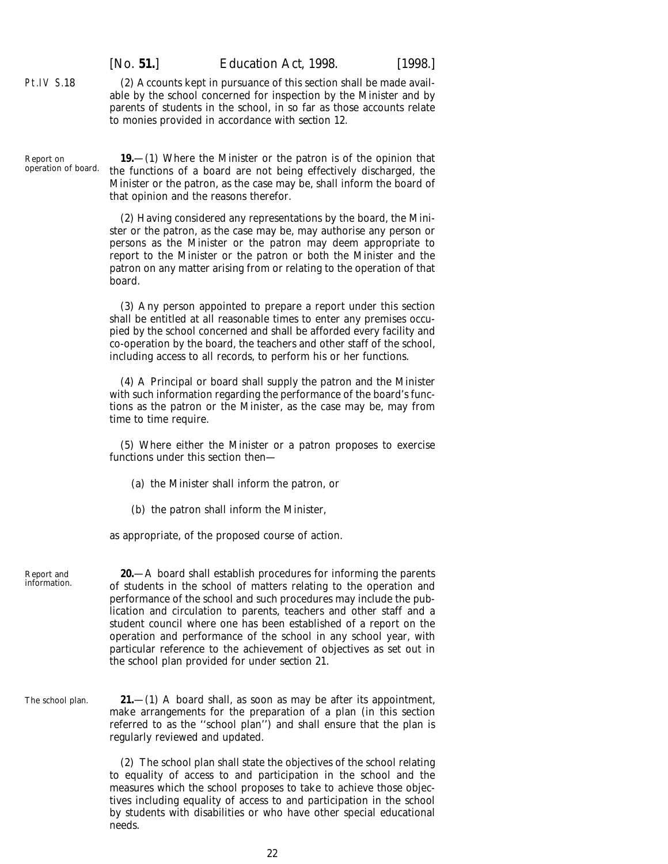<span id="page-21-0"></span>Pt.IV S.18

[*No.* **51.**] *Education Act,* 1998. [1998.]

(2) Accounts kept in pursuance of this section shall be made available by the school concerned for inspection by the Minister and by parents of students in the school, in so far as those accounts relate to monies provided in accordance with *section 12*.

Report on operation of board.

**19.**—(1) Where the Minister or the patron is of the opinion that the functions of a board are not being effectively discharged, the Minister or the patron, as the case may be, shall inform the board of that opinion and the reasons therefor.

(2) Having considered any representations by the board, the Minister or the patron, as the case may be, may authorise any person or persons as the Minister or the patron may deem appropriate to report to the Minister or the patron or both the Minister and the patron on any matter arising from or relating to the operation of that board.

(3) Any person appointed to prepare a report under this section shall be entitled at all reasonable times to enter any premises occupied by the school concerned and shall be afforded every facility and co-operation by the board, the teachers and other staff of the school, including access to all records, to perform his or her functions.

(4) A Principal or board shall supply the patron and the Minister with such information regarding the performance of the board's functions as the patron or the Minister, as the case may be, may from time to time require.

(5) Where either the Minister or a patron proposes to exercise functions under this section then—

- (*a*) the Minister shall inform the patron, or
- (*b*) the patron shall inform the Minister,

as appropriate, of the proposed course of action.

Report and information.

**20.**—A board shall establish procedures for informing the parents of students in the school of matters relating to the operation and performance of the school and such procedures may include the publication and circulation to parents, teachers and other staff and a student council where one has been established of a report on the operation and performance of the school in any school year, with particular reference to the achievement of objectives as set out in the school plan provided for under *section 21*.

The school plan.

**21.**—(1) A board shall, as soon as may be after its appointment, make arrangements for the preparation of a plan (in this section referred to as the ''school plan'') and shall ensure that the plan is regularly reviewed and updated.

(2) The school plan shall state the objectives of the school relating to equality of access to and participation in the school and the measures which the school proposes to take to achieve those objectives including equality of access to and participation in the school by students with disabilities or who have other special educational needs.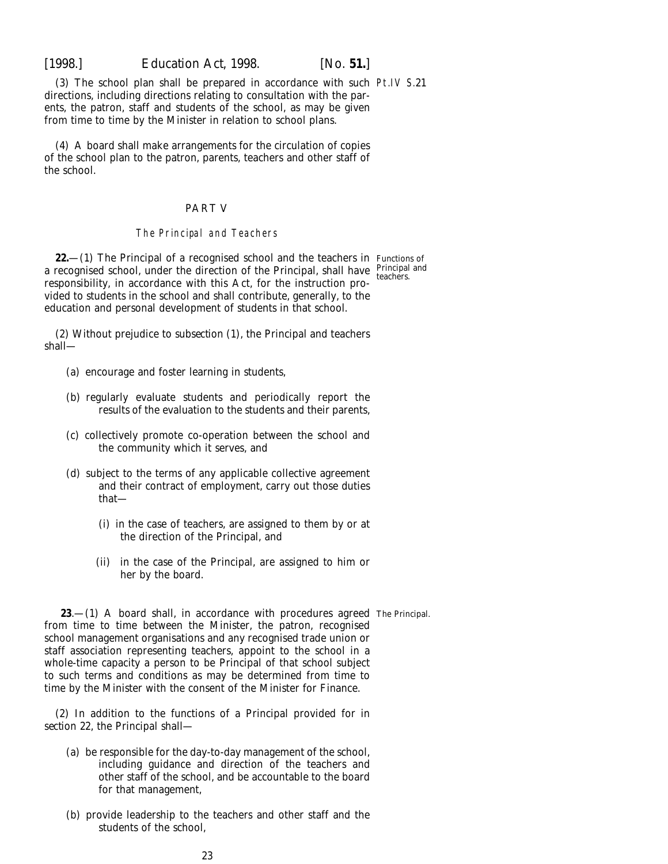<span id="page-22-0"></span>[1998.] *Education Act,* 1998. [*No.* **51.**]

(3) The school plan shall be prepared in accordance with such Pt.IV S.21 directions, including directions relating to consultation with the parents, the patron, staff and students of the school, as may be given from time to time by the Minister in relation to school plans.

(4) A board shall make arrangements for the circulation of copies of the school plan to the patron, parents, teachers and other staff of the school.

#### PART V

#### The Principal and Teachers

**22.**—(1) The Principal of a recognised school and the teachers in Functions of a recognised school, under the direction of the Principal, shall have Principal and responsibility, in accordance with this Act, for the instruction provided to students in the school and shall contribute, generally, to the education and personal development of students in that school.

(2) Without prejudice to *subsection (1)*, the Principal and teachers shall—

- (*a*) encourage and foster learning in students,
- (*b*) regularly evaluate students and periodically report the results of the evaluation to the students and their parents,
- (*c*) collectively promote co-operation between the school and the community which it serves, and
- (*d*) subject to the terms of any applicable collective agreement and their contract of employment, carry out those duties that—
	- (i) in the case of teachers, are assigned to them by or at the direction of the Principal, and
	- (ii) in the case of the Principal, are assigned to him or her by the board.

**23**.—(1) A board shall, in accordance with procedures agreed The Principal.from time to time between the Minister, the patron, recognised school management organisations and any recognised trade union or staff association representing teachers, appoint to the school in a whole-time capacity a person to be Principal of that school subject to such terms and conditions as may be determined from time to time by the Minister with the consent of the Minister for Finance.

(2) In addition to the functions of a Principal provided for in *section 22*, the Principal shall—

- (*a*) be responsible for the day-to-day management of the school, including guidance and direction of the teachers and other staff of the school, and be accountable to the board for that management,
- (*b*) provide leadership to the teachers and other staff and the students of the school,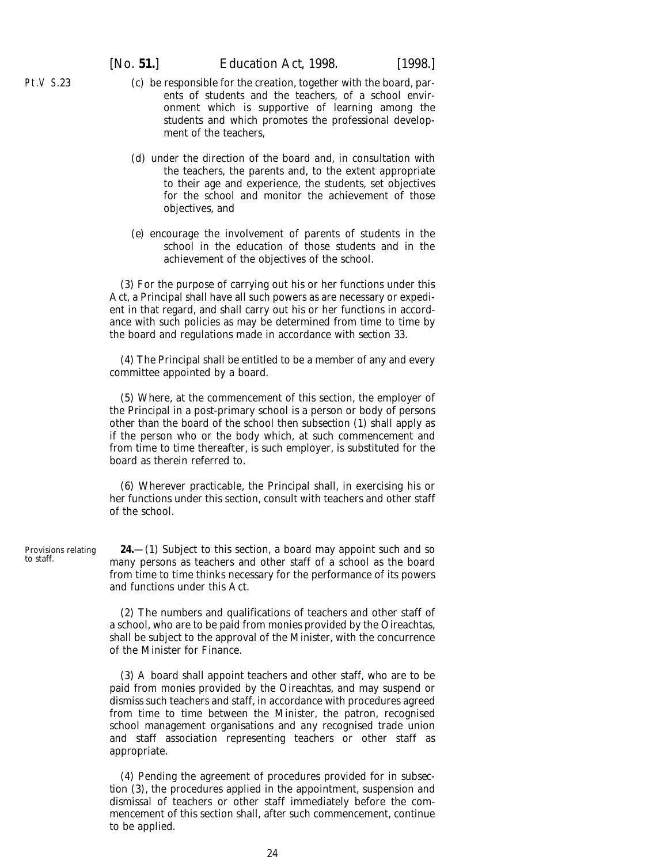- (*c*) be responsible for the creation, together with the board, parents of students and the teachers, of a school environment which is supportive of learning among the students and which promotes the professional development of the teachers,
- (*d*) under the direction of the board and, in consultation with the teachers, the parents and, to the extent appropriate to their age and experience, the students, set objectives for the school and monitor the achievement of those objectives, and
- (*e*) encourage the involvement of parents of students in the school in the education of those students and in the achievement of the objectives of the school.

(3) For the purpose of carrying out his or her functions under this Act, a Principal shall have all such powers as are necessary or expedient in that regard, and shall carry out his or her functions in accordance with such policies as may be determined from time to time by the board and regulations made in accordance with *section 33*.

(4) The Principal shall be entitled to be a member of any and every committee appointed by a board.

(5) Where, at the commencement of this section, the employer of the Principal in a post-primary school is a person or body of persons other than the board of the school then *subsection (1)* shall apply as if the person who or the body which, at such commencement and from time to time thereafter, is such employer, is substituted for the board as therein referred to.

(6) Wherever practicable, the Principal shall, in exercising his or her functions under this section, consult with teachers and other staff of the school.

**24.**—(1) Subject to this section, a board may appoint such and so many persons as teachers and other staff of a school as the board from time to time thinks necessary for the performance of its powers and functions under this Act.

(2) The numbers and qualifications of teachers and other staff of a school, who are to be paid from monies provided by the Oireachtas, shall be subject to the approval of the Minister, with the concurrence of the Minister for Finance.

(3) A board shall appoint teachers and other staff, who are to be paid from monies provided by the Oireachtas, and may suspend or dismiss such teachers and staff, in accordance with procedures agreed from time to time between the Minister, the patron, recognised school management organisations and any recognised trade union and staff association representing teachers or other staff as appropriate.

(4) Pending the agreement of procedures provided for in *subsection (3)*, the procedures applied in the appointment, suspension and dismissal of teachers or other staff immediately before the commencement of this section shall, after such commencement, continue to be applied.

Provisions relating to staff.

<span id="page-23-0"></span>Pt.V S.23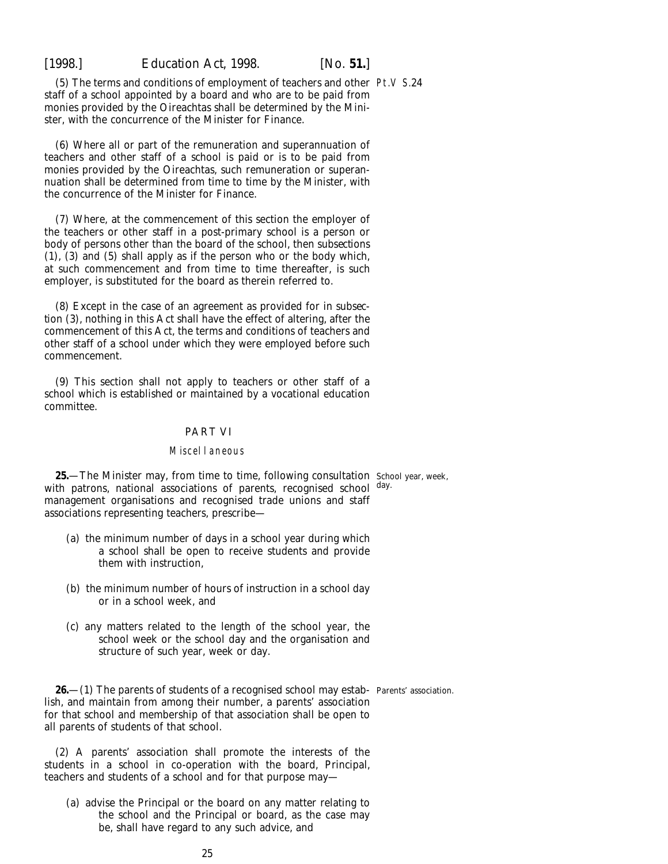<span id="page-24-0"></span>

(5) The terms and conditions of employment of teachers and other Pt.V S.24 staff of a school appointed by a board and who are to be paid from monies provided by the Oireachtas shall be determined by the Minister, with the concurrence of the Minister for Finance.

(6) Where all or part of the remuneration and superannuation of teachers and other staff of a school is paid or is to be paid from monies provided by the Oireachtas, such remuneration or superannuation shall be determined from time to time by the Minister, with the concurrence of the Minister for Finance.

(7) Where, at the commencement of this section the employer of the teachers or other staff in a post-primary school is a person or body of persons other than the board of the school, then *subsections (1)*, *(3)* and *(5)* shall apply as if the person who or the body which, at such commencement and from time to time thereafter, is such employer, is substituted for the board as therein referred to.

(8) Except in the case of an agreement as provided for in *subsection (3)*, nothing in this Act shall have the effect of altering, after the commencement of this Act, the terms and conditions of teachers and other staff of a school under which they were employed before such commencement.

(9) This section shall not apply to teachers or other staff of a school which is established or maintained by a vocational education committee.

#### PART VI

#### Miscellaneous

**25.—The Minister may, from time to time, following consultation School year, week,** with patrons, national associations of parents, recognised school day. management organisations and recognised trade unions and staff associations representing teachers, prescribe—

- (*a*) the minimum number of days in a school year during which a school shall be open to receive students and provide them with instruction,
- (*b*) the minimum number of hours of instruction in a school day or in a school week, and
- (*c*) any matters related to the length of the school year, the school week or the school day and the organisation and structure of such year, week or day.

**26.**—(1) The parents of students of a recognised school may estab- Parents' association. lish, and maintain from among their number, a parents' association for that school and membership of that association shall be open to all parents of students of that school.

(2) A parents' association shall promote the interests of the students in a school in co-operation with the board, Principal, teachers and students of a school and for that purpose may—

(*a*) advise the Principal or the board on any matter relating to the school and the Principal or board, as the case may be, shall have regard to any such advice, and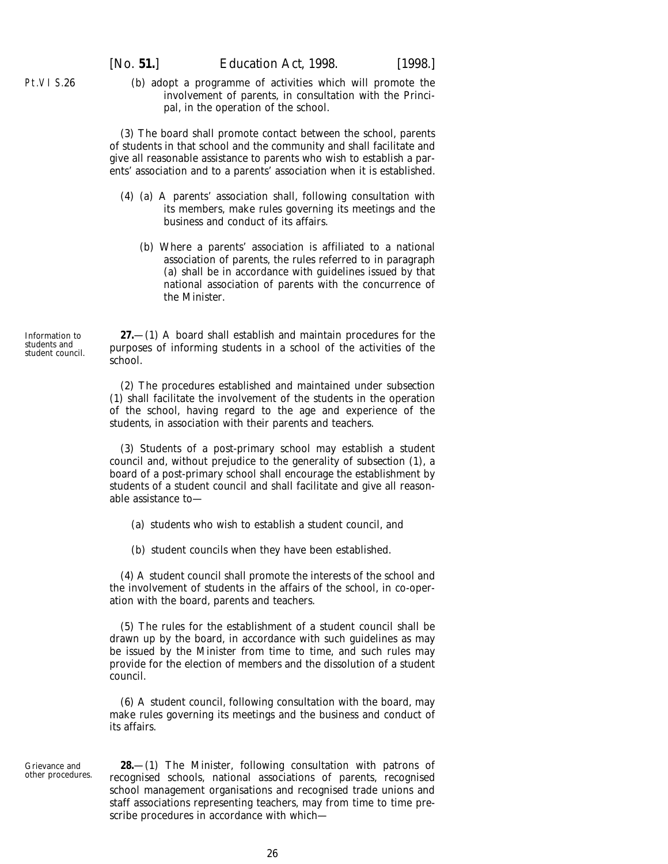(*b*) adopt a programme of activities which will promote the involvement of parents, in consultation with the Principal, in the operation of the school.

(3) The board shall promote contact between the school, parents of students in that school and the community and shall facilitate and give all reasonable assistance to parents who wish to establish a parents' association and to a parents' association when it is established.

- (4) (*a*) A parents' association shall, following consultation with its members, make rules governing its meetings and the business and conduct of its affairs.
	- (*b*) Where a parents' association is affiliated to a national association of parents, the rules referred to in *paragraph (a)* shall be in accordance with guidelines issued by that national association of parents with the concurrence of the Minister.

Information to students and student council.

<span id="page-25-0"></span>Pt.VI S.26

**27.**—(1) A board shall establish and maintain procedures for the purposes of informing students in a school of the activities of the school.

(2) The procedures established and maintained under *subsection (1)* shall facilitate the involvement of the students in the operation of the school, having regard to the age and experience of the students, in association with their parents and teachers.

(3) Students of a post-primary school may establish a student council and, without prejudice to the generality of *subsection (1)*, a board of a post-primary school shall encourage the establishment by students of a student council and shall facilitate and give all reasonable assistance to—

- (*a*) students who wish to establish a student council, and
- (*b*) student councils when they have been established.

(4) A student council shall promote the interests of the school and the involvement of students in the affairs of the school, in co-operation with the board, parents and teachers.

(5) The rules for the establishment of a student council shall be drawn up by the board, in accordance with such guidelines as may be issued by the Minister from time to time, and such rules may provide for the election of members and the dissolution of a student council.

(6) A student council, following consultation with the board, may make rules governing its meetings and the business and conduct of its affairs.

Grievance and other procedures.

**28.**—(1) The Minister, following consultation with patrons of recognised schools, national associations of parents, recognised school management organisations and recognised trade unions and staff associations representing teachers, may from time to time prescribe procedures in accordance with which—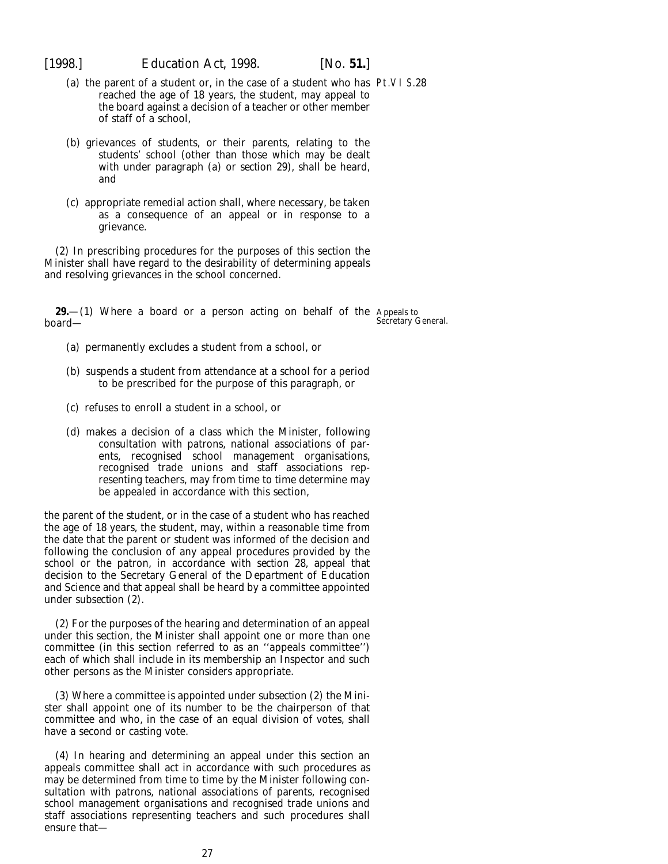<span id="page-26-0"></span>

- (*a*) the parent of a student or, in the case of a student who has Pt.VI S.28 reached the age of 18 years, the student, may appeal to the board against a decision of a teacher or other member of staff of a school,
- (*b*) grievances of students, or their parents, relating to the students' school (other than those which may be dealt with under *paragraph (a)* or *section 29*), shall be heard, and
- (*c*) appropriate remedial action shall, where necessary, be taken as a consequence of an appeal or in response to a grievance.

(2) In prescribing procedures for the purposes of this section the Minister shall have regard to the desirability of determining appeals and resolving grievances in the school concerned.

**29.**—(1) Where a board or a person acting on behalf of the Appealsto board— Secretary General.

- (*a*) permanently excludes a student from a school, or
- (*b*) suspends a student from attendance at a school for a period to be prescribed for the purpose of this paragraph, or
- (*c*) refuses to enroll a student in a school, or
- (*d*) makes a decision of a class which the Minister, following consultation with patrons, national associations of parents, recognised school management organisations, recognised trade unions and staff associations representing teachers, may from time to time determine may be appealed in accordance with this section,

the parent of the student, or in the case of a student who has reached the age of 18 years, the student, may, within a reasonable time from the date that the parent or student was informed of the decision and following the conclusion of any appeal procedures provided by the school or the patron, in accordance with *section 28*, appeal that decision to the Secretary General of the Department of Education and Science and that appeal shall be heard by a committee appointed under *subsection (2)*.

(2) For the purposes of the hearing and determination of an appeal under this section, the Minister shall appoint one or more than one committee (in this section referred to as an ''appeals committee'') each of which shall include in its membership an Inspector and such other persons as the Minister considers appropriate.

(3) Where a committee is appointed under *subsection (2)* the Minister shall appoint one of its number to be the chairperson of that committee and who, in the case of an equal division of votes, shall have a second or casting vote.

(4) In hearing and determining an appeal under this section an appeals committee shall act in accordance with such procedures as may be determined from time to time by the Minister following consultation with patrons, national associations of parents, recognised school management organisations and recognised trade unions and staff associations representing teachers and such procedures shall ensure that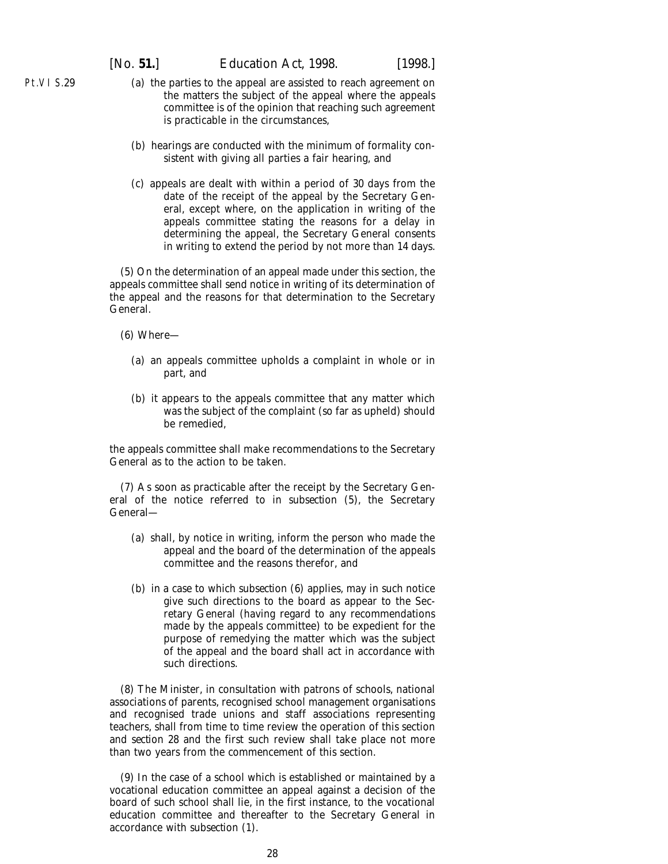Pt.VI S.29

- (*a*) the parties to the appeal are assisted to reach agreement on the matters the subject of the appeal where the appeals committee is of the opinion that reaching such agreement is practicable in the circumstances,
- (*b*) hearings are conducted with the minimum of formality consistent with giving all parties a fair hearing, and
- (*c*) appeals are dealt with within a period of 30 days from the date of the receipt of the appeal by the Secretary General, except where, on the application in writing of the appeals committee stating the reasons for a delay in determining the appeal, the Secretary General consents in writing to extend the period by not more than 14 days.

(5) On the determination of an appeal made under this section, the appeals committee shall send notice in writing of its determination of the appeal and the reasons for that determination to the Secretary General.

(6) Where—

- (*a*) an appeals committee upholds a complaint in whole or in part, and
- (*b*) it appears to the appeals committee that any matter which was the subject of the complaint (so far as upheld) should be remedied,

the appeals committee shall make recommendations to the Secretary General as to the action to be taken.

(7) As soon as practicable after the receipt by the Secretary General of the notice referred to in *subsection (5)*, the Secretary General—

- (*a*) shall, by notice in writing, inform the person who made the appeal and the board of the determination of the appeals committee and the reasons therefor, and
- (*b*) in a case to which *subsection (6)* applies, may in such notice give such directions to the board as appear to the Secretary General (having regard to any recommendations made by the appeals committee) to be expedient for the purpose of remedying the matter which was the subject of the appeal and the board shall act in accordance with such directions.

(8) The Minister, in consultation with patrons of schools, national associations of parents, recognised school management organisations and recognised trade unions and staff associations representing teachers, shall from time to time review the operation of this section and *section 28* and the first such review shall take place not more than two years from the commencement of this section.

(9) In the case of a school which is established or maintained by a vocational education committee an appeal against a decision of the board of such school shall lie, in the first instance, to the vocational education committee and thereafter to the Secretary General in accordance with *subsection (1)*.

28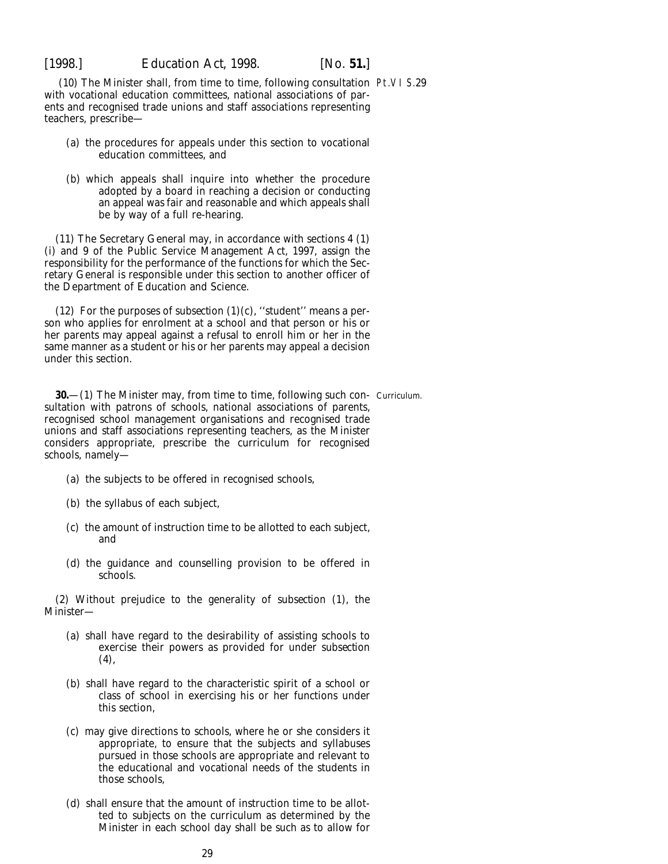<span id="page-28-0"></span>

(10) The Minister shall, from time to time, following consultation Pt.VI S.29 with vocational education committees, national associations of parents and recognised trade unions and staff associations representing teachers, prescribe—

- (*a*) the procedures for appeals under this section to vocational education committees, and
- (*b*) which appeals shall inquire into whether the procedure adopted by a board in reaching a decision or conducting an appeal was fair and reasonable and which appeals shall be by way of a full re-hearing.

(11) The Secretary General may, in accordance with sections 4 (1) (*i*) and 9 of the Public Service Management Act, 1997, assign the responsibility for the performance of the functions for which the Secretary General is responsible under this section to another officer of the Department of Education and Science.

(12) For the purposes of *subsection (1)(c)*, "student" means a person who applies for enrolment at a school and that person or his or her parents may appeal against a refusal to enroll him or her in the same manner as a student or his or her parents may appeal a decision under this section.

**30.**—(1) The Minister may, from time to time, following such con- Curriculum. sultation with patrons of schools, national associations of parents, recognised school management organisations and recognised trade unions and staff associations representing teachers, as the Minister considers appropriate, prescribe the curriculum for recognised schools, namely—

- (*a*) the subjects to be offered in recognised schools,
- (*b*) the syllabus of each subject,
- (*c*) the amount of instruction time to be allotted to each subject, and
- (*d*) the guidance and counselling provision to be offered in schools.

(2) Without prejudice to the generality of *subsection (1)*, the Minister—

- (*a*) shall have regard to the desirability of assisting schools to exercise their powers as provided for under *subsection (4)*,
- (*b*) shall have regard to the characteristic spirit of a school or class of school in exercising his or her functions under this section,
- (*c*) may give directions to schools, where he or she considers it appropriate, to ensure that the subjects and syllabuses pursued in those schools are appropriate and relevant to the educational and vocational needs of the students in those schools,
- (*d*) shall ensure that the amount of instruction time to be allotted to subjects on the curriculum as determined by the Minister in each school day shall be such as to allow for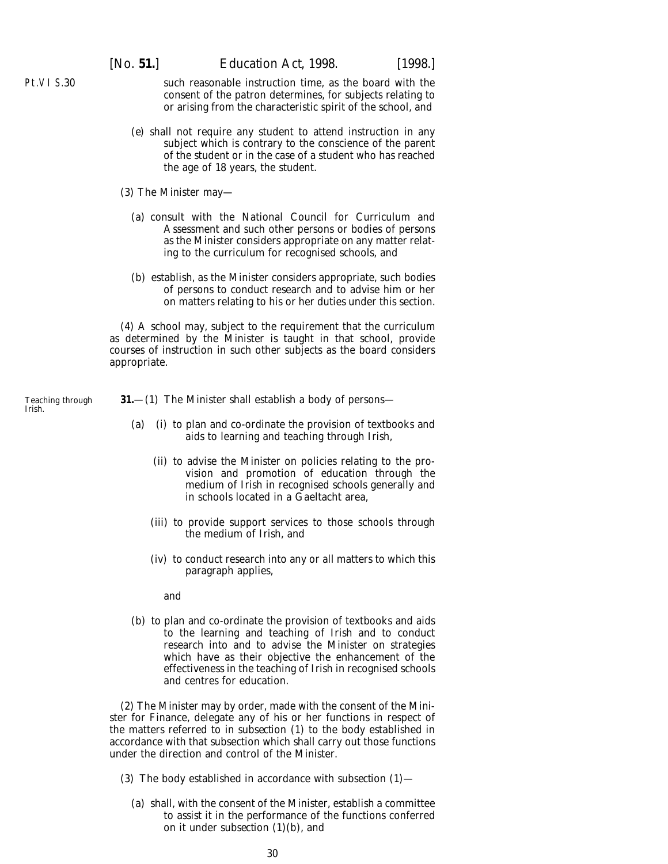- such reasonable instruction time, as the board with the consent of the patron determines, for subjects relating to or arising from the characteristic spirit of the school, and
- (*e*) shall not require any student to attend instruction in any subject which is contrary to the conscience of the parent of the student or in the case of a student who has reached the age of 18 years, the student.
- (3) The Minister may—
	- (*a*) consult with the National Council for Curriculum and Assessment and such other persons or bodies of persons as the Minister considers appropriate on any matter relating to the curriculum for recognised schools, and
	- (*b*) establish, as the Minister considers appropriate, such bodies of persons to conduct research and to advise him or her on matters relating to his or her duties under this section.

(4) A school may, subject to the requirement that the curriculum as determined by the Minister is taught in that school, provide courses of instruction in such other subjects as the board considers appropriate.

Teaching through Irish.

- **31.**—(1) The Minister shall establish a body of persons—
	- (*a*) (i) to plan and co-ordinate the provision of textbooks and aids to learning and teaching through Irish,
		- (ii) to advise the Minister on policies relating to the provision and promotion of education through the medium of Irish in recognised schools generally and in schools located in a Gaeltacht area,
		- (iii) to provide support services to those schools through the medium of Irish, and
		- (iv) to conduct research into any or all matters to which this paragraph applies,

and

(*b*) to plan and co-ordinate the provision of textbooks and aids to the learning and teaching of Irish and to conduct research into and to advise the Minister on strategies which have as their objective the enhancement of the effectiveness in the teaching of Irish in recognised schools and centres for education.

(2) The Minister may by order, made with the consent of the Minister for Finance, delegate any of his or her functions in respect of the matters referred to in *subsection (1)* to the body established in accordance with that subsection which shall carry out those functions under the direction and control of the Minister.

- (3) The body established in accordance with *subsection (1)*
	- (*a*) shall, with the consent of the Minister, establish a committee to assist it in the performance of the functions conferred on it under *subsection (1)(b)*, and

<span id="page-29-0"></span>Pt.VI S.30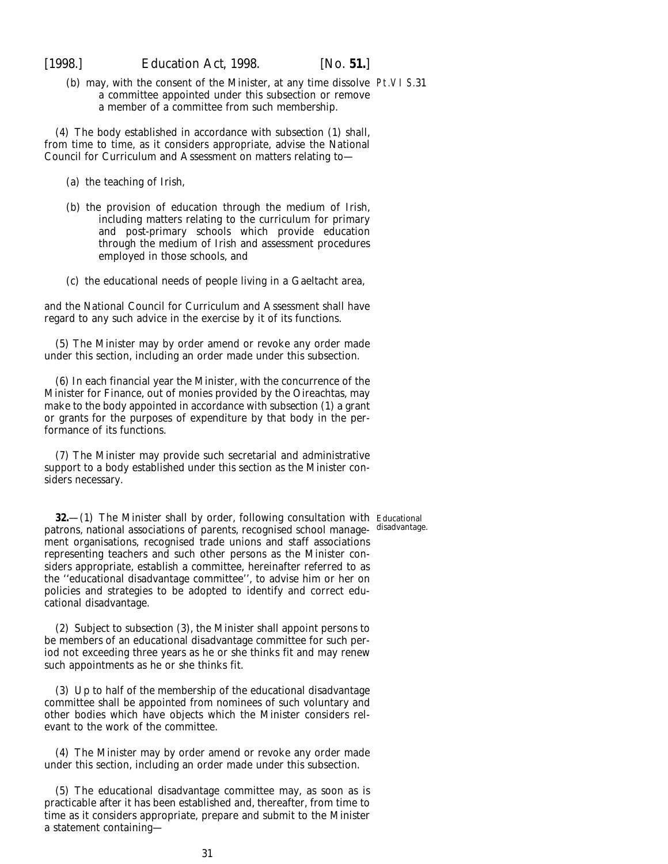<span id="page-30-0"></span>[1998.] *Education Act,* 1998. [*No.* **51.**]

(*b*) may, with the consent of the Minister, at any time dissolve Pt.VI S.31 a committee appointed under this subsection or remove a member of a committee from such membership.

(4) The body established in accordance with *subsection (1)* shall, from time to time, as it considers appropriate, advise the National Council for Curriculum and Assessment on matters relating to—

- (*a*) the teaching of Irish,
- (*b*) the provision of education through the medium of Irish, including matters relating to the curriculum for primary and post-primary schools which provide education through the medium of Irish and assessment procedures employed in those schools, and
- (*c*) the educational needs of people living in a Gaeltacht area,

and the National Council for Curriculum and Assessment shall have regard to any such advice in the exercise by it of its functions.

(5) The Minister may by order amend or revoke any order made under this section, including an order made under this subsection.

(6) In each financial year the Minister, with the concurrence of the Minister for Finance, out of monies provided by the Oireachtas, may make to the body appointed in accordance with *subsection (1)* a grant or grants for the purposes of expenditure by that body in the performance of its functions.

(7) The Minister may provide such secretarial and administrative support to a body established under this section as the Minister considers necessary.

**32.** - (1) The Minister shall by order, following consultation with Educational patrons, national associations of parents, recognised school manage- disadvantage. ment organisations, recognised trade unions and staff associations representing teachers and such other persons as the Minister considers appropriate, establish a committee, hereinafter referred to as the ''educational disadvantage committee'', to advise him or her on policies and strategies to be adopted to identify and correct educational disadvantage.

(2) Subject to *subsection (3)*, the Minister shall appoint persons to be members of an educational disadvantage committee for such period not exceeding three years as he or she thinks fit and may renew such appointments as he or she thinks fit.

(3) Up to half of the membership of the educational disadvantage committee shall be appointed from nominees of such voluntary and other bodies which have objects which the Minister considers relevant to the work of the committee.

(4) The Minister may by order amend or revoke any order made under this section, including an order made under this subsection.

(5) The educational disadvantage committee may, as soon as is practicable after it has been established and, thereafter, from time to time as it considers appropriate, prepare and submit to the Minister a statement containing—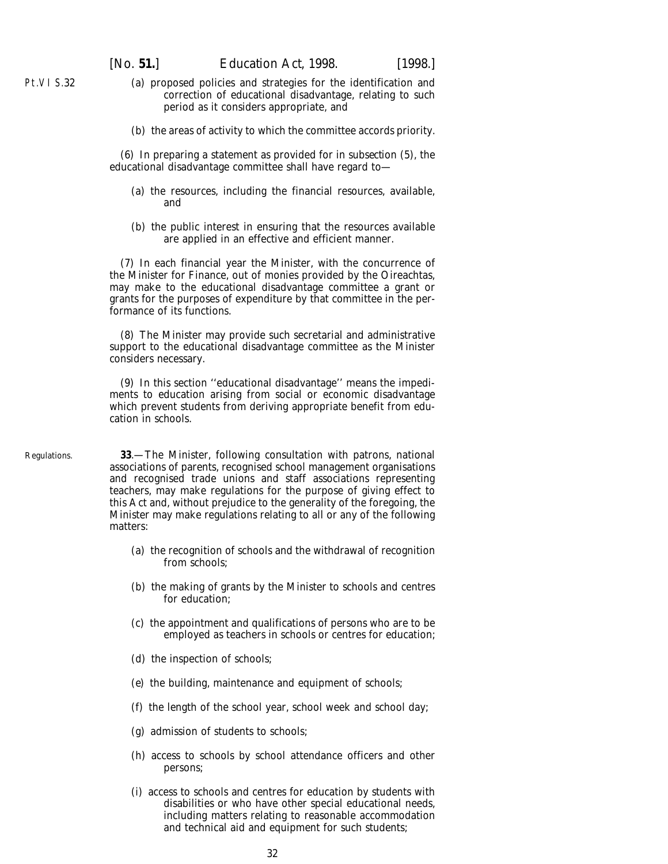- (*a*) proposed policies and strategies for the identification and correction of educational disadvantage, relating to such period as it considers appropriate, and
- (*b*) the areas of activity to which the committee accords priority.

(6) In preparing a statement as provided for in *subsection (5)*, the educational disadvantage committee shall have regard to—

- (*a*) the resources, including the financial resources, available, and
- (*b*) the public interest in ensuring that the resources available are applied in an effective and efficient manner.

(7) In each financial year the Minister, with the concurrence of the Minister for Finance, out of monies provided by the Oireachtas, may make to the educational disadvantage committee a grant or grants for the purposes of expenditure by that committee in the performance of its functions.

(8) The Minister may provide such secretarial and administrative support to the educational disadvantage committee as the Minister considers necessary.

(9) In this section ''educational disadvantage'' means the impediments to education arising from social or economic disadvantage which prevent students from deriving appropriate benefit from education in schools.

Regulations. **33**.—The Minister, following consultation with patrons, national associations of parents, recognised school management organisations and recognised trade unions and staff associations representing teachers, may make regulations for the purpose of giving effect to this Act and, without prejudice to the generality of the foregoing, the Minister may make regulations relating to all or any of the following matters:

- (*a*) the recognition of schools and the withdrawal of recognition from schools;
- (*b*) the making of grants by the Minister to schools and centres for education;
- (*c*) the appointment and qualifications of persons who are to be employed as teachers in schools or centres for education;
- (*d*) the inspection of schools;
- (*e*) the building, maintenance and equipment of schools;
- (*f*) the length of the school year, school week and school day;
- (*g*) admission of students to schools;
- (*h*) access to schools by school attendance officers and other persons;
- (*i*) access to schools and centres for education by students with disabilities or who have other special educational needs, including matters relating to reasonable accommodation and technical aid and equipment for such students;

<span id="page-31-0"></span>Pt.VI S.32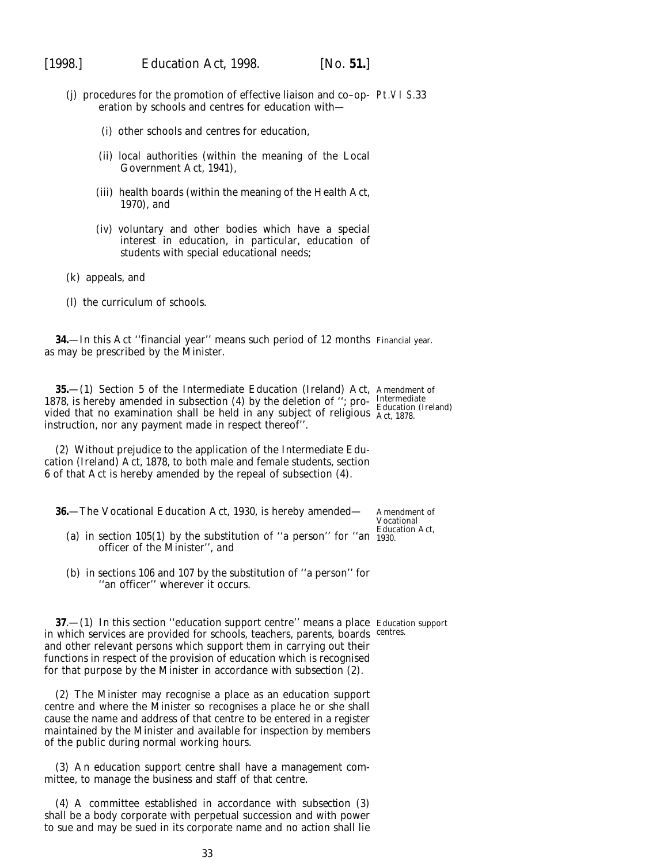<span id="page-32-0"></span>

- (*j*) procedures for the promotion of effective liaison and co–op-Pt.VI S.33 eration by schools and centres for education with—
	- (i) other schools and centres for education,
	- (ii) local authorities (within the meaning of the Local Government Act, 1941),
	- (iii) health boards (within the meaning of the Health Act, 1970), and
	- (iv) voluntary and other bodies which have a special interest in education, in particular, education of students with special educational needs;
- (*k*) appeals, and
- (*l*) the curriculum of schools.

**34.**—In this Act ''financial year'' means such period of 12 months Financial year. as may be prescribed by the Minister.

**35.**—(1) Section 5 of the Intermediate Education (Ireland) Act, Amendment of 1878, is hereby amended in subsection (4) by the deletion of ''; provided that no examination shall be held in any subject of religious instruction, nor any payment made in respect thereof''.

Intermediate Education (Ireland) Act, 1878.

(2) Without prejudice to the application of the Intermediate Education (Ireland) Act, 1878, to both male and female students, section 6 of that Act is hereby amended by the repeal of subsection (4).

**36.**—The Vocational Education Act, 1930, is hereby amended—

Amendment of Vocational Education Act,

- (*a*) in section 105(1) by the substitution of ''a person'' for ''an 1930. officer of the Minister'', and
- (*b*) in sections 106 and 107 by the substitution of ''a person'' for ''an officer'' wherever it occurs.

**37.**—(1) In this section "education support centre" means a place Education support in which services are provided for schools, teachers, parents, boards centres. and other relevant persons which support them in carrying out their functions in respect of the provision of education which is recognised for that purpose by the Minister in accordance with *subsection (2)*.

(2) The Minister may recognise a place as an education support centre and where the Minister so recognises a place he or she shall cause the name and address of that centre to be entered in a register maintained by the Minister and available for inspection by members of the public during normal working hours.

(3) An education support centre shall have a management committee, to manage the business and staff of that centre.

(4) A committee established in accordance with *subsection (3)* shall be a body corporate with perpetual succession and with power to sue and may be sued in its corporate name and no action shall lie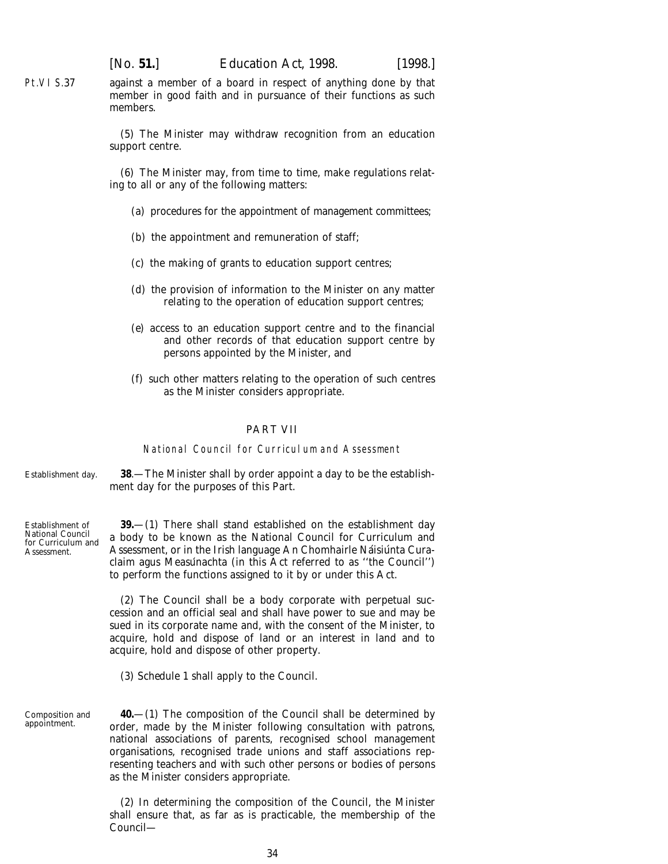against a member of a board in respect of anything done by that member in good faith and in pursuance of their functions as such members.

(5) The Minister may withdraw recognition from an education support centre.

(6) The Minister may, from time to time, make regulations relating to all or any of the following matters:

- (*a*) procedures for the appointment of management committees;
- (*b*) the appointment and remuneration of staff;
- (*c*) the making of grants to education support centres;
- (*d*) the provision of information to the Minister on any matter relating to the operation of education support centres;
- (*e*) access to an education support centre and to the financial and other records of that education support centre by persons appointed by the Minister, and
- (*f*) such other matters relating to the operation of such centres as the Minister considers appropriate.

#### PART VII

National Council for Curriculum and Assessment

Establishment day. **38**.—The Minister shall by order appoint a day to be the establishment day for the purposes of this Part.

Establishment of National Council for Curriculum and Assessment.

**39.**—(1) There shall stand established on the establishment day a body to be known as the National Council for Curriculum and Assessment, or in the Irish language An Chomhairle Náisiúnta Curaclaim agus Measúnachta (in this Act referred to as "the Council") to perform the functions assigned to it by or under this Act.

(2) The Council shall be a body corporate with perpetual succession and an official seal and shall have power to sue and may be sued in its corporate name and, with the consent of the Minister, to acquire, hold and dispose of land or an interest in land and to acquire, hold and dispose of other property.

(3) *Schedule 1* shall apply to the Council.

Composition and appointment.

**40.**—(1) The composition of the Council shall be determined by order, made by the Minister following consultation with patrons, national associations of parents, recognised school management organisations, recognised trade unions and staff associations representing teachers and with such other persons or bodies of persons as the Minister considers appropriate.

(2) In determining the composition of the Council, the Minister shall ensure that, as far as is practicable, the membership of the Council—

<span id="page-33-0"></span>Pt.VI S.37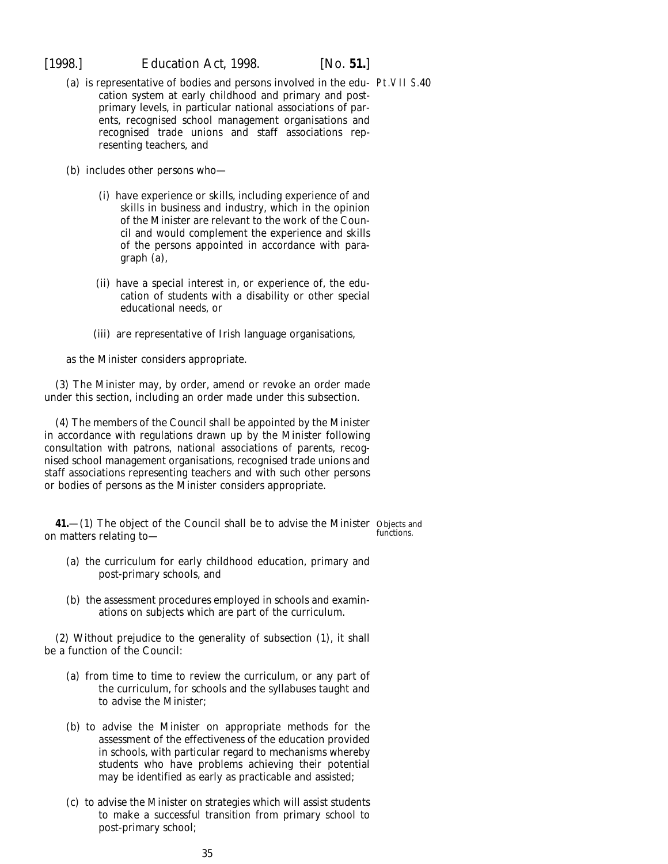<span id="page-34-0"></span>

- (*a*) is representative of bodies and persons involved in the edu-Pt.VII S.40 cation system at early childhood and primary and postprimary levels, in particular national associations of parents, recognised school management organisations and recognised trade unions and staff associations representing teachers, and
- (*b*) includes other persons who—
	- (i) have experience or skills, including experience of and skills in business and industry, which in the opinion of the Minister are relevant to the work of the Council and would complement the experience and skills of the persons appointed in accordance with *paragraph (a)*,
	- (ii) have a special interest in, or experience of, the education of students with a disability or other special educational needs, or
	- (iii) are representative of Irish language organisations,

as the Minister considers appropriate.

(3) The Minister may, by order, amend or revoke an order made under this section, including an order made under this subsection.

(4) The members of the Council shall be appointed by the Minister in accordance with regulations drawn up by the Minister following consultation with patrons, national associations of parents, recognised school management organisations, recognised trade unions and staff associations representing teachers and with such other persons or bodies of persons as the Minister considers appropriate.

**41.**—(1) The object of the Council shall be to advise the Minister Objects and functions. on matters relating to—

- (*a*) the curriculum for early childhood education, primary and post-primary schools, and
- (*b*) the assessment procedures employed in schools and examinations on subjects which are part of the curriculum.

(2) Without prejudice to the generality of *subsection (1)*, it shall be a function of the Council:

- (*a*) from time to time to review the curriculum, or any part of the curriculum, for schools and the syllabuses taught and to advise the Minister;
- (*b*) to advise the Minister on appropriate methods for the assessment of the effectiveness of the education provided in schools, with particular regard to mechanisms whereby students who have problems achieving their potential may be identified as early as practicable and assisted;
- (*c*) to advise the Minister on strategies which will assist students to make a successful transition from primary school to post-primary school;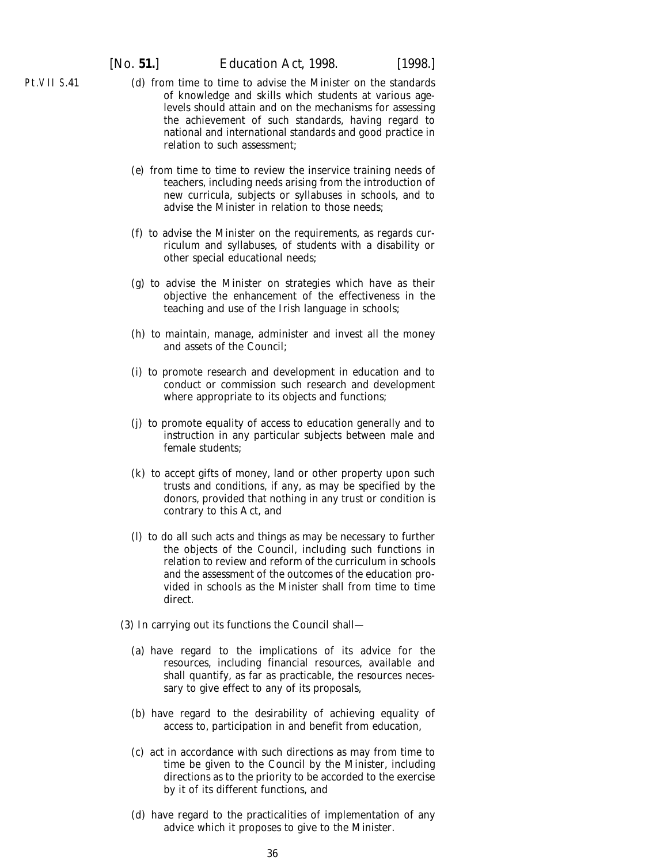Pt.VII S.41

- (*d*) from time to time to advise the Minister on the standards of knowledge and skills which students at various agelevels should attain and on the mechanisms for assessing the achievement of such standards, having regard to national and international standards and good practice in relation to such assessment;
- (*e*) from time to time to review the inservice training needs of teachers, including needs arising from the introduction of new curricula, subjects or syllabuses in schools, and to advise the Minister in relation to those needs;
- (*f*) to advise the Minister on the requirements, as regards curriculum and syllabuses, of students with a disability or other special educational needs;
- (*g*) to advise the Minister on strategies which have as their objective the enhancement of the effectiveness in the teaching and use of the Irish language in schools;
- (*h*) to maintain, manage, administer and invest all the money and assets of the Council;
- (*i*) to promote research and development in education and to conduct or commission such research and development where appropriate to its objects and functions;
- (*j*) to promote equality of access to education generally and to instruction in any particular subjects between male and female students;
- (*k*) to accept gifts of money, land or other property upon such trusts and conditions, if any, as may be specified by the donors, provided that nothing in any trust or condition is contrary to this Act, and
- (*l*) to do all such acts and things as may be necessary to further the objects of the Council, including such functions in relation to review and reform of the curriculum in schools and the assessment of the outcomes of the education provided in schools as the Minister shall from time to time direct.
- (3) In carrying out its functions the Council shall—
	- (*a*) have regard to the implications of its advice for the resources, including financial resources, available and shall quantify, as far as practicable, the resources necessary to give effect to any of its proposals,
	- (*b*) have regard to the desirability of achieving equality of access to, participation in and benefit from education,
	- (*c*) act in accordance with such directions as may from time to time be given to the Council by the Minister, including directions as to the priority to be accorded to the exercise by it of its different functions, and
	- (*d*) have regard to the practicalities of implementation of any advice which it proposes to give to the Minister.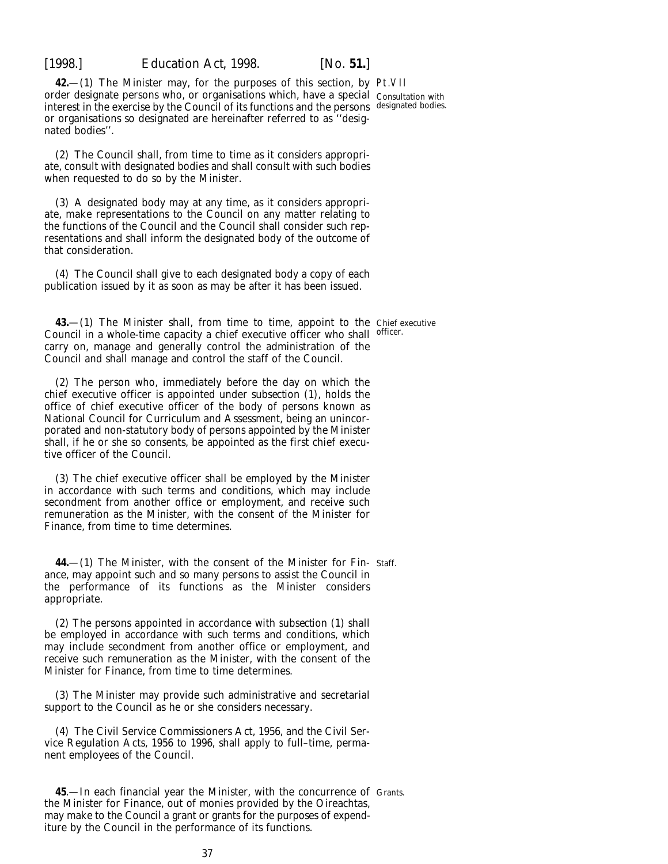<span id="page-36-0"></span>

**42.**—(1) The Minister may, for the purposes of this section, by Pt.VII order designate persons who, or organisations which, have a special Consultation with interest in the exercise by the Council of its functions and the persons designated bodies. or organisations so designated are hereinafter referred to as ''designated bodies''.

(2) The Council shall, from time to time as it considers appropriate, consult with designated bodies and shall consult with such bodies when requested to do so by the Minister.

(3) A designated body may at any time, as it considers appropriate, make representations to the Council on any matter relating to the functions of the Council and the Council shall consider such representations and shall inform the designated body of the outcome of that consideration.

(4) The Council shall give to each designated body a copy of each publication issued by it as soon as may be after it has been issued.

**43.**—(1) The Minister shall, from time to time, appoint to the Chief executive Council in a whole-time capacity a chief executive officer who shall officer. carry on, manage and generally control the administration of the Council and shall manage and control the staff of the Council.

(2) The person who, immediately before the day on which the chief executive officer is appointed under *subsection (1)*, holds the office of chief executive officer of the body of persons known as National Council for Curriculum and Assessment, being an unincorporated and non-statutory body of persons appointed by the Minister shall, if he or she so consents, be appointed as the first chief executive officer of the Council.

(3) The chief executive officer shall be employed by the Minister in accordance with such terms and conditions, which may include secondment from another office or employment, and receive such remuneration as the Minister, with the consent of the Minister for Finance, from time to time determines.

**44.**—(1) The Minister, with the consent of the Minister for Fin-Staff. ance, may appoint such and so many persons to assist the Council in the performance of its functions as the Minister considers appropriate.

(2) The persons appointed in accordance with *subsection (1)* shall be employed in accordance with such terms and conditions, which may include secondment from another office or employment, and receive such remuneration as the Minister, with the consent of the Minister for Finance, from time to time determines.

(3) The Minister may provide such administrative and secretarial support to the Council as he or she considers necessary.

(4) The Civil Service Commissioners Act, 1956, and the Civil Service Regulation Acts, 1956 to 1996, shall apply to full–time, permanent employees of the Council.

**45**.—In each financial year the Minister, with the concurrence of Grants.the Minister for Finance, out of monies provided by the Oireachtas, may make to the Council a grant or grants for the purposes of expenditure by the Council in the performance of its functions.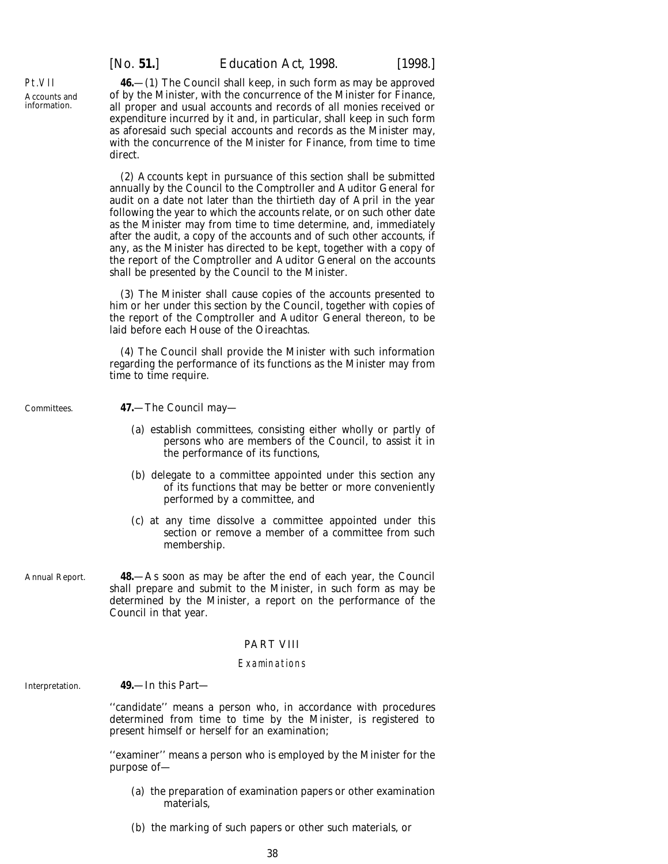<span id="page-37-0"></span>Pt.VII Accounts and information.

**46.**—(1) The Council shall keep, in such form as may be approved of by the Minister, with the concurrence of the Minister for Finance, all proper and usual accounts and records of all monies received or expenditure incurred by it and, in particular, shall keep in such form as aforesaid such special accounts and records as the Minister may, with the concurrence of the Minister for Finance, from time to time direct.

(2) Accounts kept in pursuance of this section shall be submitted annually by the Council to the Comptroller and Auditor General for audit on a date not later than the thirtieth day of April in the year following the year to which the accounts relate, or on such other date as the Minister may from time to time determine, and, immediately after the audit, a copy of the accounts and of such other accounts, if any, as the Minister has directed to be kept, together with a copy of the report of the Comptroller and Auditor General on the accounts shall be presented by the Council to the Minister.

(3) The Minister shall cause copies of the accounts presented to him or her under this section by the Council, together with copies of the report of the Comptroller and Auditor General thereon, to be laid before each House of the Oireachtas.

(4) The Council shall provide the Minister with such information regarding the performance of its functions as the Minister may from time to time require.

Committees.

**47.**—The Council may—

- (*a*) establish committees, consisting either wholly or partly of persons who are members of the Council, to assist it in the performance of its functions,
- (*b*) delegate to a committee appointed under this section any of its functions that may be better or more conveniently performed by a committee, and
- (*c*) at any time dissolve a committee appointed under this section or remove a member of a committee from such membership.

Annual Report. **48.**—As soon as may be after the end of each year, the Council shall prepare and submit to the Minister, in such form as may be determined by the Minister, a report on the performance of the Council in that year.

#### PART VIII

#### Examinations

Interpretation.

**49.**—In this Part—

"candidate" means a person who, in accordance with procedures determined from time to time by the Minister, is registered to present himself or herself for an examination;

''examiner'' means a person who is employed by the Minister for the purpose of—

- (*a*) the preparation of examination papers or other examination materials,
- (*b*) the marking of such papers or other such materials, or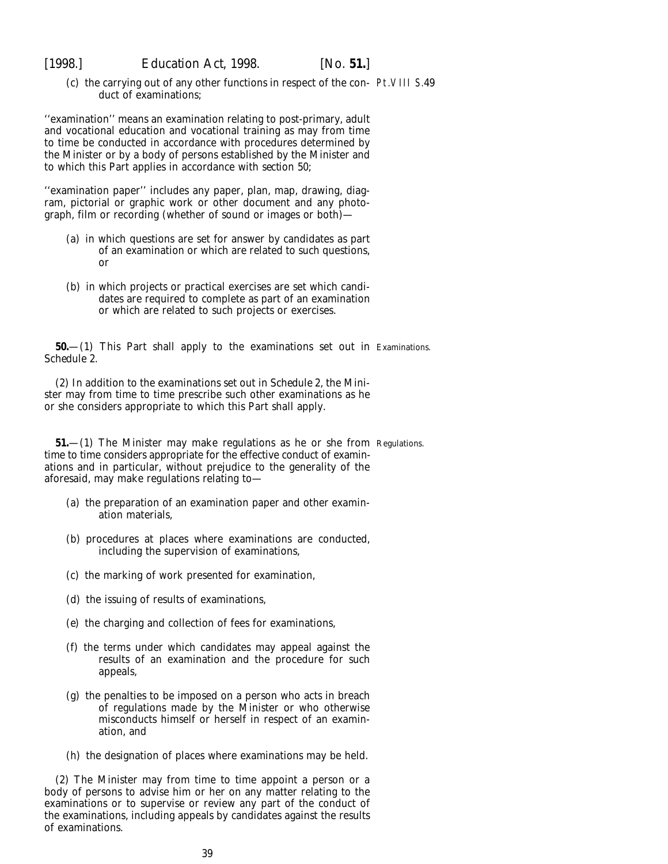<span id="page-38-0"></span>

(*c*) the carrying out of any other functions in respect of the con-Pt.VIII S.49 duct of examinations;

''examination'' means an examination relating to post-primary, adult and vocational education and vocational training as may from time to time be conducted in accordance with procedures determined by the Minister or by a body of persons established by the Minister and to which this Part applies in accordance with *section 50*;

"examination paper" includes any paper, plan, map, drawing, diagram, pictorial or graphic work or other document and any photograph, film or recording (whether of sound or images or both)—

- (*a*) in which questions are set for answer by candidates as part of an examination or which are related to such questions, or
- (*b*) in which projects or practical exercises are set which candidates are required to complete as part of an examination or which are related to such projects or exercises.

**50.**—(1) This Part shall apply to the examinations set out in Examinations. *Schedule 2*.

(2) In addition to the examinations set out in *Schedule 2*, the Minister may from time to time prescribe such other examinations as he or she considers appropriate to which this Part shall apply.

**51.**—(1) The Minister may make regulations as he or she from Regulations. time to time considers appropriate for the effective conduct of examinations and in particular, without prejudice to the generality of the aforesaid, may make regulations relating to—

- (*a*) the preparation of an examination paper and other examination materials,
- (*b*) procedures at places where examinations are conducted, including the supervision of examinations,
- (*c*) the marking of work presented for examination,
- (*d*) the issuing of results of examinations,
- (*e*) the charging and collection of fees for examinations,
- (*f*) the terms under which candidates may appeal against the results of an examination and the procedure for such appeals,
- (*g*) the penalties to be imposed on a person who acts in breach of regulations made by the Minister or who otherwise misconducts himself or herself in respect of an examination, and
- (*h*) the designation of places where examinations may be held.

(2) The Minister may from time to time appoint a person or a body of persons to advise him or her on any matter relating to the examinations or to supervise or review any part of the conduct of the examinations, including appeals by candidates against the results of examinations.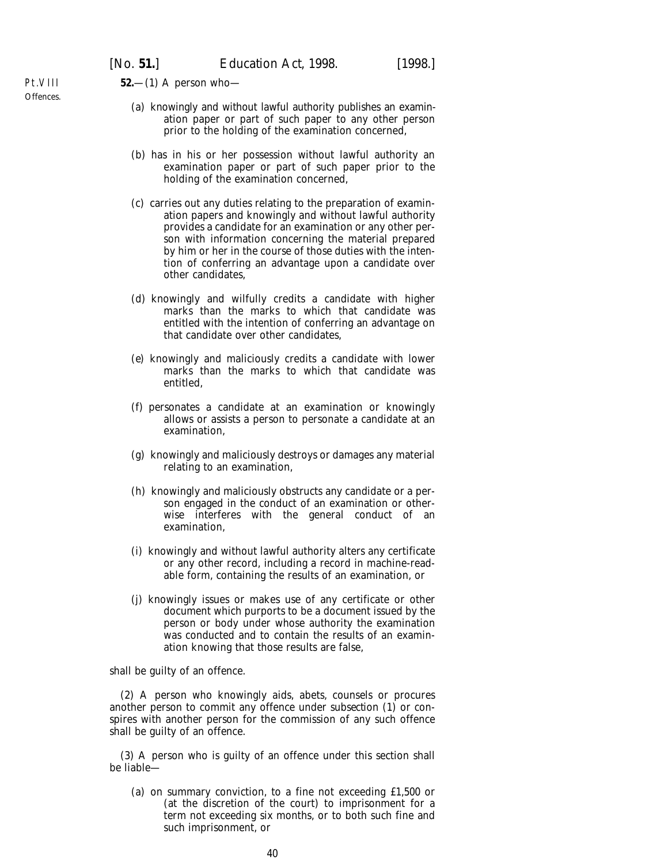**52.**—(1) A person who—

<span id="page-39-0"></span>Pt.VIII Offences.

- (*a*) knowingly and without lawful authority publishes an examination paper or part of such paper to any other person prior to the holding of the examination concerned,
- (*b*) has in his or her possession without lawful authority an examination paper or part of such paper prior to the holding of the examination concerned,
- (*c*) carries out any duties relating to the preparation of examination papers and knowingly and without lawful authority provides a candidate for an examination or any other person with information concerning the material prepared by him or her in the course of those duties with the intention of conferring an advantage upon a candidate over other candidates,
- (*d*) knowingly and wilfully credits a candidate with higher marks than the marks to which that candidate was entitled with the intention of conferring an advantage on that candidate over other candidates,
- (*e*) knowingly and maliciously credits a candidate with lower marks than the marks to which that candidate was entitled,
- (*f*) personates a candidate at an examination or knowingly allows or assists a person to personate a candidate at an examination,
- (*g*) knowingly and maliciously destroys or damages any material relating to an examination,
- (*h*) knowingly and maliciously obstructs any candidate or a person engaged in the conduct of an examination or otherwise interferes with the general conduct of an examination,
- (*i*) knowingly and without lawful authority alters any certificate or any other record, including a record in machine-readable form, containing the results of an examination, or
- (*j*) knowingly issues or makes use of any certificate or other document which purports to be a document issued by the person or body under whose authority the examination was conducted and to contain the results of an examination knowing that those results are false,

shall be guilty of an offence.

(2) A person who knowingly aids, abets, counsels or procures another person to commit any offence under *subsection (1)* or conspires with another person for the commission of any such offence shall be guilty of an offence.

(3) A person who is guilty of an offence under this section shall be liable—

(*a*) on summary conviction, to a fine not exceeding £1,500 or (at the discretion of the court) to imprisonment for a term not exceeding six months, or to both such fine and such imprisonment, or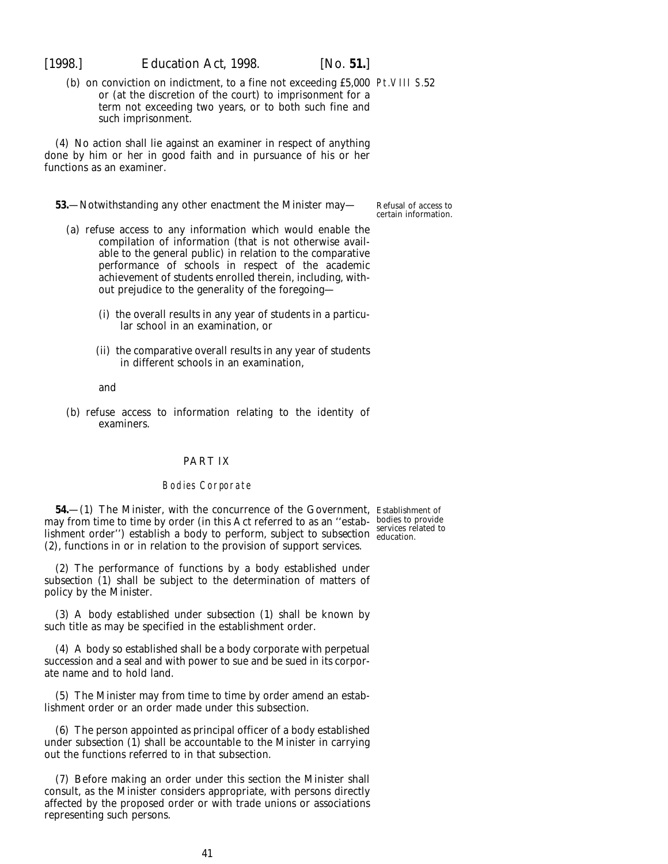<span id="page-40-0"></span>

(b) on conviction on indictment, to a fine not exceeding £5,000 Pt. VIII S.52 or (at the discretion of the court) to imprisonment for a term not exceeding two years, or to both such fine and such imprisonment.

(4) No action shall lie against an examiner in respect of anything done by him or her in good faith and in pursuance of his or her functions as an examiner.

**53.**—Notwithstanding any other enactment the Minister may—

- (*a*) refuse access to any information which would enable the compilation of information (that is not otherwise available to the general public) in relation to the comparative performance of schools in respect of the academic achievement of students enrolled therein, including, without prejudice to the generality of the foregoing—
	- (i) the overall results in any year of students in a particular school in an examination, or
	- (ii) the comparative overall results in any year of students in different schools in an examination,

and

(*b*) refuse access to information relating to the identity of examiners.

#### PART IX

#### Bodies Corporate

**54.** (1) The Minister, with the concurrence of the Government, Establishment of may from time to time by order (in this Act referred to as an "estab-bodies to provide lishment order'') establish a body to perform, subject to *subsection* services related to education.*(2)*, functions in or in relation to the provision of support services.

(2) The performance of functions by a body established under *subsection (1)* shall be subject to the determination of matters of policy by the Minister.

(3) A body established under *subsection (1)* shall be known by such title as may be specified in the establishment order.

(4) A body so established shall be a body corporate with perpetual succession and a seal and with power to sue and be sued in its corporate name and to hold land.

(5) The Minister may from time to time by order amend an establishment order or an order made under this subsection.

(6) The person appointed as principal officer of a body established under *subsection (1)* shall be accountable to the Minister in carrying out the functions referred to in that subsection.

(7) Before making an order under this section the Minister shall consult, as the Minister considers appropriate, with persons directly affected by the proposed order or with trade unions or associations representing such persons.

Refusal of access to certain information.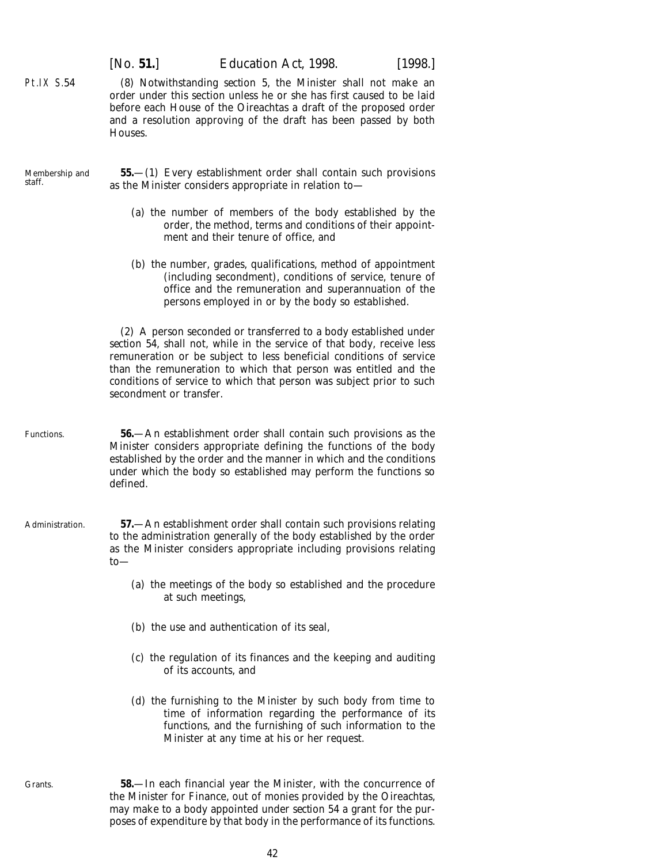<span id="page-41-0"></span>Pt.IX S.54

Grants.

[*No.* **51.**] *Education Act,* 1998. [1998.]

(8) Notwithstanding *section 5*, the Minister shall not make an order under this section unless he or she has first caused to be laid before each House of the Oireachtas a draft of the proposed order and a resolution approving of the draft has been passed by both Houses.

Membership and staff. Functions. Administration. **55.**—(1) Every establishment order shall contain such provisions as the Minister considers appropriate in relation to— (*a*) the number of members of the body established by the order, the method, terms and conditions of their appointment and their tenure of office, and (*b*) the number, grades, qualifications, method of appointment (including secondment), conditions of service, tenure of office and the remuneration and superannuation of the persons employed in or by the body so established. (2) A person seconded or transferred to a body established under *section 54*, shall not, while in the service of that body, receive less remuneration or be subject to less beneficial conditions of service than the remuneration to which that person was entitled and the conditions of service to which that person was subject prior to such secondment or transfer. **56.**—An establishment order shall contain such provisions as the Minister considers appropriate defining the functions of the body established by the order and the manner in which and the conditions under which the body so established may perform the functions so defined. **57.**—An establishment order shall contain such provisions relating to the administration generally of the body established by the order as the Minister considers appropriate including provisions relating to— (*a*) the meetings of the body so established and the procedure at such meetings, (*b*) the use and authentication of its seal, (*c*) the regulation of its finances and the keeping and auditing of its accounts, and (*d*) the furnishing to the Minister by such body from time to time of information regarding the performance of its functions, and the furnishing of such information to the Minister at any time at his or her request.

**58.**—In each financial year the Minister, with the concurrence of the Minister for Finance, out of monies provided by the Oireachtas, may make to a body appointed under *section 54* a grant for the purposes of expenditure by that body in the performance of its functions.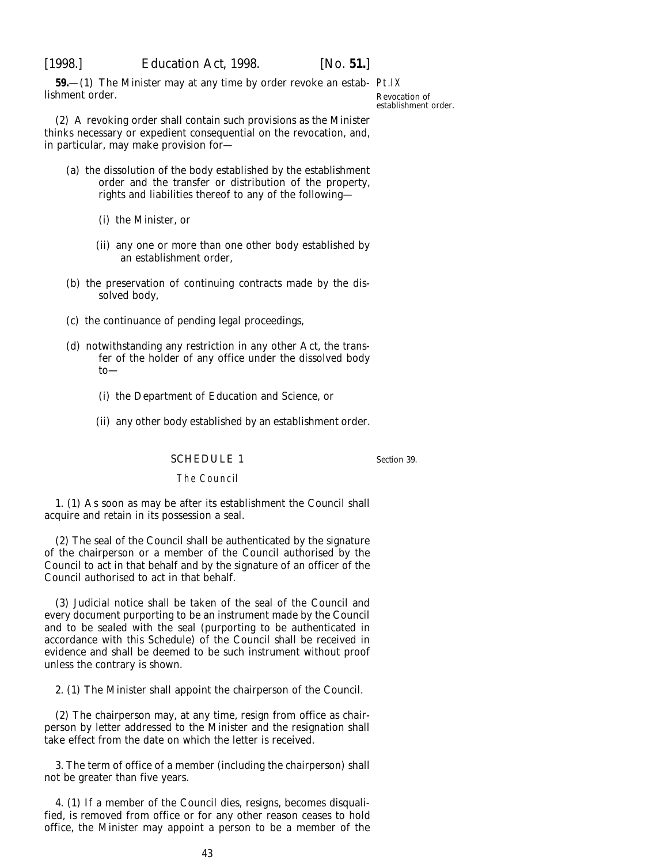<span id="page-42-0"></span>

**59.** (1) The Minister may at any time by order revoke an estab- Pt.IX lishment order.

Revocation of establishment order.

(2) A revoking order shall contain such provisions as the Minister thinks necessary or expedient consequential on the revocation, and, in particular, may make provision for—

- (*a*) the dissolution of the body established by the establishment order and the transfer or distribution of the property, rights and liabilities thereof to any of the following—
	- (i) the Minister, or
	- (ii) any one or more than one other body established by an establishment order,
- (*b*) the preservation of continuing contracts made by the dissolved body,
- (*c*) the continuance of pending legal proceedings,
- (*d*) notwithstanding any restriction in any other Act, the transfer of the holder of any office under the dissolved body to—
	- (i) the Department of Education and Science, or
	- (ii) any other body established by an establishment order.

#### SCHEDULE 1

*Section 39.*

#### The Council

1. (1) As soon as may be after its establishment the Council shall acquire and retain in its possession a seal.

(2) The seal of the Council shall be authenticated by the signature of the chairperson or a member of the Council authorised by the Council to act in that behalf and by the signature of an officer of the Council authorised to act in that behalf.

(3) Judicial notice shall be taken of the seal of the Council and every document purporting to be an instrument made by the Council and to be sealed with the seal (purporting to be authenticated in accordance with this Schedule) of the Council shall be received in evidence and shall be deemed to be such instrument without proof unless the contrary is shown.

2. (1) The Minister shall appoint the chairperson of the Council.

(2) The chairperson may, at any time, resign from office as chairperson by letter addressed to the Minister and the resignation shall take effect from the date on which the letter is received.

3. The term of office of a member (including the chairperson) shall not be greater than five years.

4. (1) If a member of the Council dies, resigns, becomes disqualified, is removed from office or for any other reason ceases to hold office, the Minister may appoint a person to be a member of the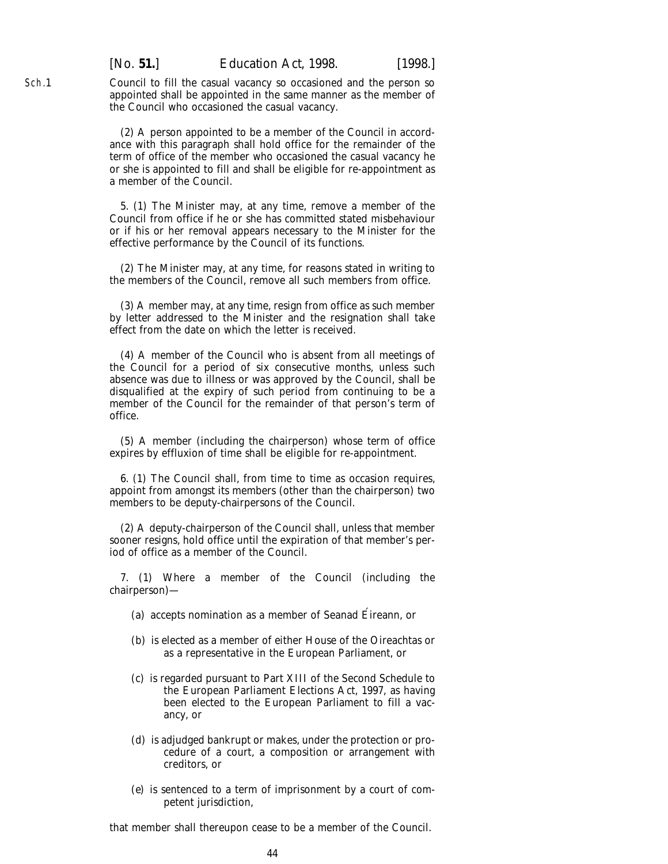Council to fill the casual vacancy so occasioned and the person so appointed shall be appointed in the same manner as the member of the Council who occasioned the casual vacancy.

(2) A person appointed to be a member of the Council in accordance with this paragraph shall hold office for the remainder of the term of office of the member who occasioned the casual vacancy he or she is appointed to fill and shall be eligible for re-appointment as a member of the Council.

5. (1) The Minister may, at any time, remove a member of the Council from office if he or she has committed stated misbehaviour or if his or her removal appears necessary to the Minister for the effective performance by the Council of its functions.

(2) The Minister may, at any time, for reasons stated in writing to the members of the Council, remove all such members from office.

(3) A member may, at any time, resign from office as such member by letter addressed to the Minister and the resignation shall take effect from the date on which the letter is received.

(4) A member of the Council who is absent from all meetings of the Council for a period of six consecutive months, unless such absence was due to illness or was approved by the Council, shall be disqualified at the expiry of such period from continuing to be a member of the Council for the remainder of that person's term of office.

(5) A member (including the chairperson) whose term of office expires by effluxion of time shall be eligible for re-appointment.

6. (1) The Council shall, from time to time as occasion requires, appoint from amongst its members (other than the chairperson) two members to be deputy-chairpersons of the Council.

(2) A deputy-chairperson of the Council shall, unless that member sooner resigns, hold office until the expiration of that member's period of office as a member of the Council.

7. (1) Where a member of the Council (including the chairperson)—

- (*a*) accepts nomination as a member of Seanad Eireann, or
- (*b*) is elected as a member of either House of the Oireachtas or as a representative in the European Parliament, or
- (*c*) is regarded pursuant to Part XIII of the Second Schedule to the European Parliament Elections Act, 1997, as having been elected to the European Parliament to fill a vacancy, or
- (*d*) is adjudged bankrupt or makes, under the protection or procedure of a court, a composition or arrangement with creditors, or
- (*e*) is sentenced to a term of imprisonment by a court of competent jurisdiction,

that member shall thereupon cease to be a member of the Council.

Sch.1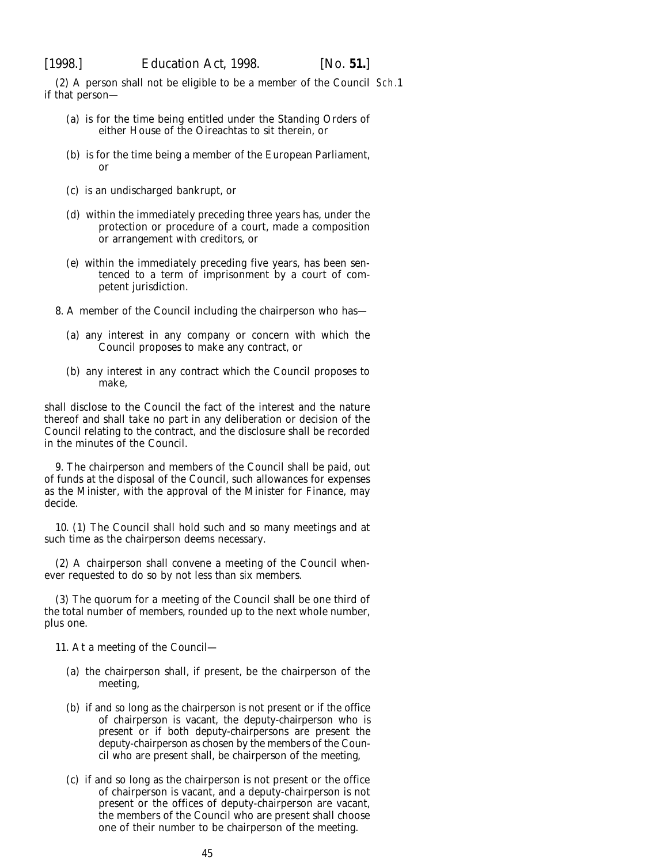(2) A person shall not be eligible to be a member of the Council Sch.1if that person—

- (*a*) is for the time being entitled under the Standing Orders of either House of the Oireachtas to sit therein, or
- (*b*) is for the time being a member of the European Parliament, or
- (*c*) is an undischarged bankrupt, or
- (*d*) within the immediately preceding three years has, under the protection or procedure of a court, made a composition or arrangement with creditors, or
- (*e*) within the immediately preceding five years, has been sentenced to a term of imprisonment by a court of competent jurisdiction.
- 8. A member of the Council including the chairperson who has—
	- (*a*) any interest in any company or concern with which the Council proposes to make any contract, or
	- (*b*) any interest in any contract which the Council proposes to make,

shall disclose to the Council the fact of the interest and the nature thereof and shall take no part in any deliberation or decision of the Council relating to the contract, and the disclosure shall be recorded in the minutes of the Council.

9. The chairperson and members of the Council shall be paid, out of funds at the disposal of the Council, such allowances for expenses as the Minister, with the approval of the Minister for Finance, may decide.

10. (1) The Council shall hold such and so many meetings and at such time as the chairperson deems necessary.

(2) A chairperson shall convene a meeting of the Council whenever requested to do so by not less than six members.

(3) The quorum for a meeting of the Council shall be one third of the total number of members, rounded up to the next whole number, plus one.

11. At a meeting of the Council—

- (*a*) the chairperson shall, if present, be the chairperson of the meeting,
- (*b*) if and so long as the chairperson is not present or if the office of chairperson is vacant, the deputy-chairperson who is present or if both deputy-chairpersons are present the deputy-chairperson as chosen by the members of the Council who are present shall, be chairperson of the meeting,
- (*c*) if and so long as the chairperson is not present or the office of chairperson is vacant, and a deputy-chairperson is not present or the offices of deputy-chairperson are vacant, the members of the Council who are present shall choose one of their number to be chairperson of the meeting.